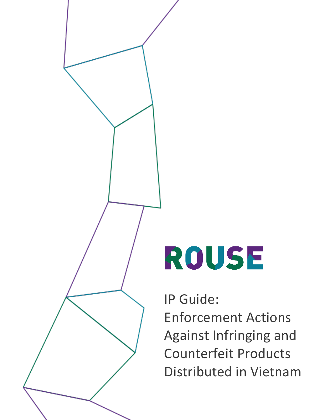

# ROUSE

IP Guide:

Enforcement Actions Against Infringing and Counterfeit Products Distributed in Vietnam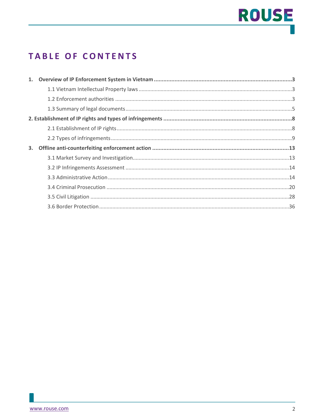# **ROUSE**

### **TABLE OF CONTENTS**

| 3. |  |
|----|--|
|    |  |
|    |  |
|    |  |
|    |  |
|    |  |
|    |  |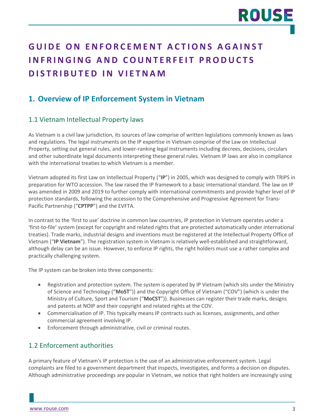### **GUIDE ON ENFORCEMENT ACTIONS AGAINST INFRINGING AND COUNTERFEIT PRODUCTS DISTRIBUTED IN VIETNAM**

### <span id="page-2-0"></span>**1. Overview of IP Enforcement System in Vietnam**

#### <span id="page-2-1"></span>1.1 Vietnam Intellectual Property laws

As Vietnam is a civil law jurisdiction, its sources of law comprise of written legislations commonly known as laws and regulations. The legal instruments on the IP expertise in Vietnam comprise of the Law on Intellectual Property, setting out general rules, and lower-ranking legal instruments including decrees, decisions, circulars and other subordinate legal documents interpreting these general rules. Vietnam IP laws are also in compliance with the international treaties to which Vietnam is a member.

Vietnam adopted its first Law on Intellectual Property ("**IP**") in 2005, which was designed to comply with TRIPS in preparation for WTO accession. The law raised the IP framework to a basic international standard. The law on IP was amended in 2009 and 2019 to further comply with international commitments and provide higher level of IP protection standards, following the accession to the Comprehensive and Progressive Agreement for Trans-Pacific Partnership ("**CPTPP**") and the EVFTA.

In contrast to the 'first to use' doctrine in common law countries, IP protection in Vietnam operates under a 'first-to-file' system (except for copyright and related rights that are protected automatically under international treaties). Trade marks, industrial designs and inventions must be registered at the Intellectual Property Office of Vietnam ("**IP Vietnam**"). The registration system in Vietnam is relatively well-established and straightforward, although delay can be an issue. However, to enforce IP rights, the right holders must use a rather complex and practically challenging system.

The IP system can be broken into three components:

- Registration and protection system. The system is operated by IP Vietnam (which sits under the Ministry of Science and Technology ("**MoST**")) and the Copyright Office of Vietnam ("COV") (which is under the Ministry of Culture, Sport and Tourism ("**MoCST**")). Businesses can register their trade marks, designs and patents at NOIP and their copyright and related rights at the COV.
- Commercialisation of IP. This typically means IP contracts such as licenses, assignments, and other commercial agreement involving IP.
- Enforcement through administrative, civil or criminal routes.

#### <span id="page-2-2"></span>1.2 Enforcement authorities

A primary feature of Vietnam's IP protection is the use of an administrative enforcement system. Legal complaints are filed to a government department that inspects, investigates, and forms a decision on disputes. Although administrative proceedings are popular in Vietnam, we notice that right holders are increasingly using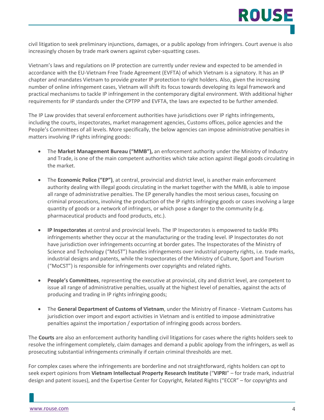civil litigation to seek preliminary injunctions, damages, or a public apology from infringers. Court avenue is also increasingly chosen by trade mark owners against cyber-squatting cases.

Vietnam's laws and regulations on IP protection are currently under review and expected to be amended in accordance with the EU-Vietnam Free Trade Agreement (EVFTA) of which Vietnam is a signatory. It has an IP chapter and mandates Vietnam to provide greater IP protection to right holders. Also, given the increasing number of online infringement cases, Vietnam will shift its focus towards developing its legal framework and practical mechanisms to tackle IP infringement in the contemporary digital environment. With additional higher requirements for IP standards under the CPTPP and EVFTA, the laws are expected to be further amended.

The IP Law provides that several enforcement authorities have jurisdictions over IP rights infringements, including the courts, inspectorates, market management agencies, Customs offices, police agencies and the People's Committees of all levels. More specifically, the below agencies can impose administrative penalties in matters involving IP rights infringing goods:

- The **Market Management Bureau ("MMB"),** an enforcement authority under the Ministry of Industry and Trade, is one of the main competent authorities which take action against illegal goods circulating in the market.
- The **Economic Police ("EP")**, at central, provincial and district level, is another main enforcement authority dealing with illegal goods circulating in the market together with the MMB, is able to impose all range of administrative penalties. The EP generally handles the most serious cases, focusing on criminal prosecutions, involving the production of the IP rights infringing goods or cases involving a large quantity of goods or a network of infringers, or which pose a danger to the community (e.g. pharmaceutical products and food products, etc.).
- **IP Inspectorates** at central and provincial levels. The IP Inspectorates is empowered to tackle IPRs infringements whether they occur at the manufacturing or the trading level. IP Inspectorates do not have jurisdiction over infringements occurring at border gates. The Inspectorates of the Ministry of Science and Technology ("MoST") handles infringements over industrial property rights, i.e. trade marks, industrial designs and patents, while the Inspectorates of the Ministry of Culture, Sport and Tourism ("MoCST") is responsible for infringements over copyrights and related rights.
- **People's Committees**, representing the executive at provincial, city and district level, are competent to issue all range of administrative penalties, usually at the highest level of penalties, against the acts of producing and trading in IP rights infringing goods;
- The **General Department of Customs of Vietnam**, under the Ministry of Finance Vietnam Customs has jurisdiction over import and export activities in Vietnam and is entitled to impose administrative penalties against the importation / exportation of infringing goods across borders.

The **Courts** are also an enforcement authority handling civil litigations for cases where the rights holders seek to resolve the infringement completely, claim damages and demand a public apology from the infringers, as well as prosecuting substantial infringements criminally if certain criminal thresholds are met.

For complex cases where the infringements are borderline and not straightforward, rights holders can opt to seek expert opinions from **Vietnam Intellectual Property Research Institute** ("**VIPRI**" – for trade mark, industrial design and patent issues), and the Expertise Center for Copyright, Related Rights ("ECCR" – for copyrights and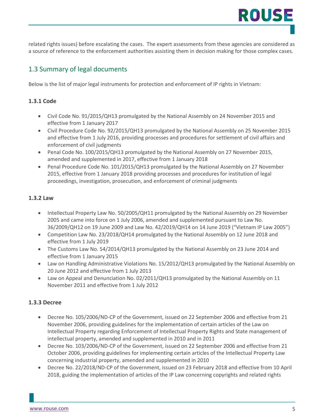related rights issues) before escalating the cases. The expert assessments from these agencies are considered as a source of reference to the enforcement authorities assisting them in decision making for those complex cases.

#### <span id="page-4-0"></span>1.3 Summary of legal documents

Below is the list of major legal instruments for protection and enforcement of IP rights in Vietnam:

#### **1.3.1 Code**

- Civil Code No. 91/2015/QH13 promulgated by the National Assembly on 24 November 2015 and effective from 1 January 2017
- Civil Procedure Code No. 92/2015/QH13 promulgated by the National Assembly on 25 November 2015 and effective from 1 July 2016, providing processes and procedures for settlement of civil affairs and enforcement of civil judgments
- Penal Code No. 100/2015/QH13 promulgated by the National Assembly on 27 November 2015, amended and supplemented in 2017, effective from 1 January 2018
- Penal Procedure Code No. 101/2015/QH13 promulgated by the National Assembly on 27 November 2015, effective from 1 January 2018 providing processes and procedures for institution of legal proceedings, investigation, prosecution, and enforcement of criminal judgments

#### **1.3.2 Law**

- Intellectual Property Law No. 50/2005/QH11 promulgated by the National Assembly on 29 November 2005 and came into force on 1 July 2006, amended and supplemented pursuant to Law No. 36/2009/QH12 on 19 June 2009 and Law No. 42/2019/QH14 on 14 June 2019 ("Vietnam IP Law 2005")
- Competition Law No. 23/2018/QH14 promulgated by the National Assembly on 12 June 2018 and effective from 1 July 2019
- The Customs Law No. 54/2014/QH13 promulgated by the National Assembly on 23 June 2014 and effective from 1 January 2015
- Law on Handling Administrative Violations No. 15/2012/QH13 promulgated by the National Assembly on 20 June 2012 and effective from 1 July 2013
- Law on Appeal and Denunciation No. 02/2011/QH13 promulgated by the National Assembly on 11 November 2011 and effective from 1 July 2012

#### **1.3.3 Decree**

- Decree No. 105/2006/ND-CP of the Government, issued on 22 September 2006 and effective from 21 November 2006, providing guidelines for the implementation of certain articles of the Law on Intellectual Property regarding Enforcement of Intellectual Property Rights and State management of intellectual property, amended and supplemented in 2010 and in 2011
- Decree No. 103/2006/ND-CP of the Government, issued on 22 September 2006 and effective from 21 October 2006, providing guidelines for implementing certain articles of the Intellectual Property Law concerning industrial property, amended and supplemented in 2010
- Decree No. 22/2018/ND-CP of the Government, issued on 23 February 2018 and effective from 10 April 2018, guiding the implementation of articles of the IP Law concerning copyrights and related rights

ROUSE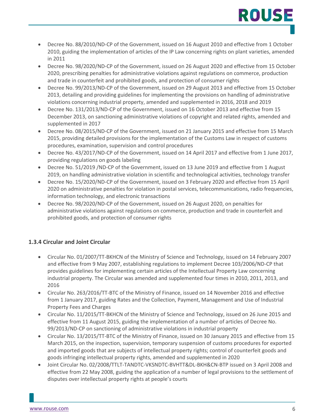- Decree No. 88/2010/ND-CP of the Government, issued on 16 August 2010 and effective from 1 October 2010, guiding the implementation of articles of the IP Law concerning rights on plant varieties, amended in 2011
- Decree No. 98/2020/ND-CP of the Government, issued on 26 August 2020 and effective from 15 October 2020, prescribing penalties for administrative violations against regulations on commerce, production and trade in counterfeit and prohibited goods, and protection of consumer rights
- Decree No. 99/2013/ND-CP of the Government, issued on 29 August 2013 and effective from 15 October 2013, detailing and providing guidelines for implementing the provisions on handling of administrative violations concerning industrial property, amended and supplemented in 2016, 2018 and 2019
- Decree No. 131/2013/ND-CP of the Government, issued on 16 October 2013 and effective from 15 December 2013, on sanctioning administrative violations of copyright and related rights, amended and supplemented in 2017
- Decree No. 08/2015/ND-CP of the Government, issued on 21 January 2015 and effective from 15 March 2015, providing detailed provisions for the implementation of the Customs Law in respect of customs procedures, examination, supervision and control procedures
- Decree No. 43/2017/ND-CP of the Government, issued on 14 April 2017 and effective from 1 June 2017, providing regulations on goods labeling
- Decree No. 51/2019 /ND-CP of the Government, issued on 13 June 2019 and effective from 1 August 2019, on handling administrative violation in scientific and technological activities, technology transfer
- Decree No. 15/2020/ND-CP of the Government, issued on 3 February 2020 and effective from 15 April 2020 on administrative penalties for violation in postal services, telecommunications, radio frequencies, information technology, and electronic transactions
- Decree No. 98/2020/ND-CP of the Government, issued on 26 August 2020, on penalties for administrative violations against regulations on commerce, production and trade in counterfeit and prohibited goods, and protection of consumer rights

#### **1.3.4 Circular and Joint Circular**

- Circular No. 01/2007/TT-BKHCN of the Ministry of Science and Technology, issued on 14 February 2007 and effective from 9 May 2007, establishing regulations to implement Decree 103/2006/ND-CP that provides guidelines for implementing certain articles of the Intellectual Property Law concerning industrial property. The Circular was amended and supplemented four times in 2010, 2011, 2013, and 2016
- Circular No. 263/2016/TT-BTC of the Ministry of Finance, issued on 14 November 2016 and effective from 1 January 2017, guiding Rates and the Collection, Payment, Management and Use of Industrial Property Fees and Charges
- Circular No. 11/2015/TT-BKHCN of the Ministry of Science and Technology, issued on 26 June 2015 and effective from 11 August 2015, guiding the implementation of a number of articles of Decree No. 99/2013/ND-CP on sanctioning of administrative violations in industrial property
- Circular No. 13/2015/TT-BTC of the Ministry of Finance, issued on 30 January 2015 and effective from 15 March 2015, on the inspection, supervision, temporary suspension of customs procedures for exported and imported goods that are subjects of intellectual property rights; control of counterfeit goods and goods infringing intellectual property rights, amended and supplemented in 2020
- Joint Circular No. 02/2008/TTLT-TANDTC-VKSNDTC-BVHTT&DL-BKH&CN-BTP issued on 3 April 2008 and effective from 22 May 2008, guiding the application of a number of legal provisions to the settlement of disputes over intellectual property rights at people's courts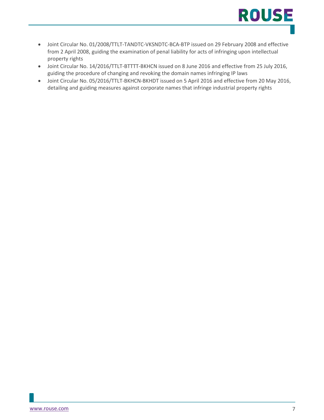

- Joint Circular No. 01/2008/TTLT-TANDTC-VKSNDTC-BCA-BTP issued on 29 February 2008 and effective from 2 April 2008, guiding the examination of penal liability for acts of infringing upon intellectual property rights
- Joint Circular No. 14/2016/TTLT-BTTTT-BKHCN issued on 8 June 2016 and effective from 25 July 2016, guiding the procedure of changing and revoking the domain names infringing IP laws
- Joint Circular No. 05/2016/TTLT-BKHCN-BKHDT issued on 5 April 2016 and effective from 20 May 2016, detailing and guiding measures against corporate names that infringe industrial property rights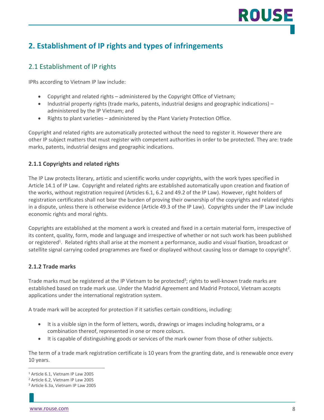### <span id="page-7-0"></span>**2. Establishment of IP rights and types of infringements**

#### <span id="page-7-1"></span>2.1 Establishment of IP rights

IPRs according to Vietnam IP law include:

- Copyright and related rights administered by the Copyright Office of Vietnam;
- Industrial property rights (trade marks, patents, industrial designs and geographic indications) administered by the IP Vietnam; and
- Rights to plant varieties administered by the Plant Variety Protection Office.

Copyright and related rights are automatically protected without the need to register it. However there are other IP subject matters that must register with competent authorities in order to be protected. They are: trade marks, patents, industrial designs and geographic indications.

#### **2.1.1 Copyrights and related rights**

The IP Law protects literary, artistic and scientific works under copyrights, with the work types specified in Article 14.1 of IP Law. Copyright and related rights are established automatically upon creation and fixation of the works, without registration required (Articles 6.1, 6.2 and 49.2 of the IP Law). However, right holders of registration certificates shall not bear the burden of proving their ownership of the copyrights and related rights in a dispute, unless there is otherwise evidence (Article 49.3 of the IP Law). Copyrights under the IP Law include economic rights and moral rights.

Copyrights are established at the moment a work is created and fixed in a certain material form, irrespective of its content, quality, form, mode and language and irrespective of whether or not such work has been published or registered<sup>1</sup>. Related rights shall arise at the moment a performance, audio and visual fixation, broadcast or satellite signal carrying coded programmes are fixed or displayed without causing loss or damage to copyright<sup>2</sup>.

#### **2.1.2 Trade marks**

Trade marks must be registered at the IP Vietnam to be protected<sup>3</sup>; rights to well-known trade marks are established based on trade mark use. Under the Madrid Agreement and Madrid Protocol, Vietnam accepts applications under the international registration system.

A trade mark will be accepted for protection if it satisfies certain conditions, including:

- It is a visible sign in the form of letters, words, drawings or images including holograms, or a combination thereof, represented in one or more colours.
- It is capable of distinguishing goods or services of the mark owner from those of other subjects.

The term of a trade mark registration certificate is 10 years from the granting date, and is renewable once every 10 years.

ROUS

<sup>1</sup> Article 6.1, Vietnam IP Law 2005

<sup>2</sup> Article 6.2, Vietnam IP Law 2005

<sup>3</sup> Article 6.3a, Vietnam IP Law 2005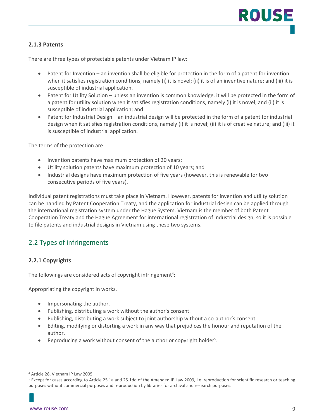#### **2.1.3 Patents**

There are three types of protectable patents under Vietnam IP law:

- Patent for Invention an invention shall be eligible for protection in the form of a patent for invention when it satisfies registration conditions, namely (i) it is novel; (ii) it is of an inventive nature; and (iii) it is susceptible of industrial application.
- Patent for Utility Solution unless an invention is common knowledge, it will be protected in the form of a patent for utility solution when it satisfies registration conditions, namely (i) it is novel; and (ii) it is susceptible of industrial application; and
- Patent for Industrial Design an industrial design will be protected in the form of a patent for industrial design when it satisfies registration conditions, namely (i) it is novel; (ii) it is of creative nature; and (iii) it is susceptible of industrial application.

The terms of the protection are:

- Invention patents have maximum protection of 20 years;
- Utility solution patents have maximum protection of 10 years; and
- Industrial designs have maximum protection of five years (however, this is renewable for two consecutive periods of five years).

Individual patent registrations must take place in Vietnam. However, patents for invention and utility solution can be handled by Patent Cooperation Treaty, and the application for industrial design can be applied through the international registration system under the Hague System. Vietnam is the member of both Patent Cooperation Treaty and the Hague Agreement for international registration of industrial design, so it is possible to file patents and industrial designs in Vietnam using these two systems.

### <span id="page-8-0"></span>2.2 Types of infringements

#### **2.2.1 Copyrights**

The followings are considered acts of copyright infringement<sup>4</sup>:

Appropriating the copyright in works.

- Impersonating the author.
- Publishing, distributing a work without the author's consent.
- Publishing, distributing a work subject to joint authorship without a co-author's consent.
- Editing, modifying or distorting a work in any way that prejudices the honour and reputation of the author.
- Reproducing a work without consent of the author or copyright holder<sup>5</sup>.

<sup>4</sup> Article 28, Vietnam IP Law 2005

<sup>5</sup> Except for cases according to Article 25.1a and 25.1dd of the Amended IP Law 2009, i.e. reproduction for scientific research or teaching purposes without commercial purposes and reproduction by libraries for archival and research purposes.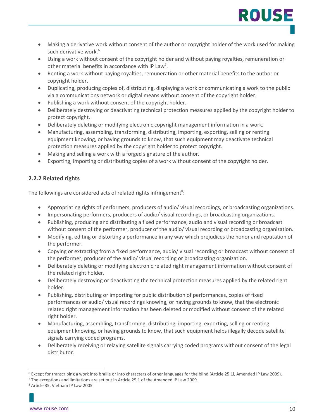• Making a derivative work without consent of the author or copyright holder of the work used for making such derivative work.<sup>6</sup>

ROUS'

- Using a work without consent of the copyright holder and without paying royalties, remuneration or other material benefits in accordance with IP Law<sup>7</sup>.
- Renting a work without paying royalties, remuneration or other material benefits to the author or copyright holder.
- Duplicating, producing copies of, distributing, displaying a work or communicating a work to the public via a communications network or digital means without consent of the copyright holder.
- Publishing a work without consent of the copyright holder.
- Deliberately destroying or deactivating technical protection measures applied by the copyright holder to protect copyright.
- Deliberately deleting or modifying electronic copyright management information in a work.
- Manufacturing, assembling, transforming, distributing, importing, exporting, selling or renting equipment knowing, or having grounds to know, that such equipment may deactivate technical protection measures applied by the copyright holder to protect copyright.
- Making and selling a work with a forged signature of the author.
- Exporting, importing or distributing copies of a work without consent of the copyright holder.

#### **2.2.2 Related rights**

The followings are considered acts of related rights infringement<sup>8</sup>:

- Appropriating rights of performers, producers of audio/ visual recordings, or broadcasting organizations.
- Impersonating performers, producers of audio/ visual recordings, or broadcasting organizations.
- Publishing, producing and distributing a fixed performance, audio and visual recording or broadcast without consent of the performer, producer of the audio/ visual recording or broadcasting organization.
- Modifying, editing or distorting a performance in any way which prejudices the honor and reputation of the performer.
- Copying or extracting from a fixed performance, audio/ visual recording or broadcast without consent of the performer, producer of the audio/ visual recording or broadcasting organization.
- Deliberately deleting or modifying electronic related right management information without consent of the related right holder.
- Deliberately destroying or deactivating the technical protection measures applied by the related right holder.
- Publishing, distributing or importing for public distribution of performances, copies of fixed performances or audio/ visual recordings knowing, or having grounds to know, that the electronic related right management information has been deleted or modified without consent of the related right holder.
- Manufacturing, assembling, transforming, distributing, importing, exporting, selling or renting equipment knowing, or having grounds to know, that such equipment helps illegally decode satellite signals carrying coded programs.
- Deliberately receiving or relaying satellite signals carrying coded programs without consent of the legal distributor.

<sup>6</sup> Except for transcribing a work into braille or into characters of other languages for the blind (Article 25.1i, Amended IP Law 2009).

<sup>7</sup> The exceptions and limitations are set out in Article 25.1 of the Amended IP Law 2009.

<sup>8</sup> Article 35, Vietnam IP Law 2005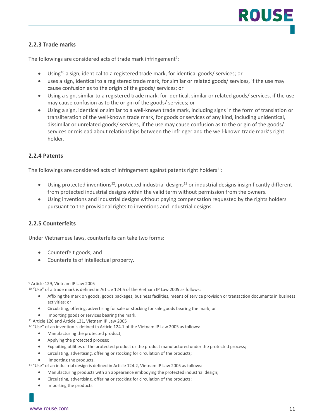#### **2.2.3 Trade marks**

The followings are considered acts of trade mark infringement<sup>9</sup>:

- Using<sup>10</sup> a sign, identical to a registered trade mark, for identical goods/ services; or
- uses a sign, identical to a registered trade mark, for similar or related goods/ services, if the use may cause confusion as to the origin of the goods/ services; or
- Using a sign, similar to a registered trade mark, for identical, similar or related goods/ services, if the use may cause confusion as to the origin of the goods/ services; or
- Using a sign, identical or similar to a well-known trade mark, including signs in the form of translation or transliteration of the well-known trade mark, for goods or services of any kind, including unidentical, dissimilar or unrelated goods/ services, if the use may cause confusion as to the origin of the goods/ services or mislead about relationships between the infringer and the well-known trade mark's right holder.

#### **2.2.4 Patents**

The followings are considered acts of infringement against patents right holders<sup>11</sup>:

- Using protected inventions<sup>12</sup>, protected industrial designs<sup>13</sup> or industrial designs insignificantly different from protected industrial designs within the valid term without permission from the owners.
- Using inventions and industrial designs without paying compensation requested by the rights holders pursuant to the provisional rights to inventions and industrial designs.

#### **2.2.5 Counterfeits**

Under Vietnamese laws, counterfeits can take two forms:

- Counterfeit goods; and
- Counterfeits of intellectual property.

- Affixing the mark on goods, goods packages, business facilities, means of service provision or transaction documents in business activities; or
- Circulating, offering, advertising for sale or stocking for sale goods bearing the mark; or
- Importing goods or services bearing the mark. 11 Article 126 and Article 131, Vietnam IP Law 2005
- 

- Manufacturing the protected product;
- Applying the protected process;
- Exploiting utilities of the protected product or the product manufactured under the protected process;
- Circulating, advertising, offering or stocking for circulation of the products;
- Importing the products.
- <sup>13</sup> "Use" of an industrial design is defined in Article 124.2, Vietnam IP Law 2005 as follows:
	- Manufacturing products with an appearance embodying the protected industrial design;
	- Circulating, advertising, offering or stocking for circulation of the products;
	- Importing the products.

<sup>9</sup> Article 129, Vietnam IP Law 2005

<sup>10</sup> "Use" of a trade mark is defined in Article 124.5 of the Vietnam IP Law 2005 as follows:

<sup>12</sup> "Use" of an invention is defined in Article 124.1 of the Vietnam IP Law 2005 as follows: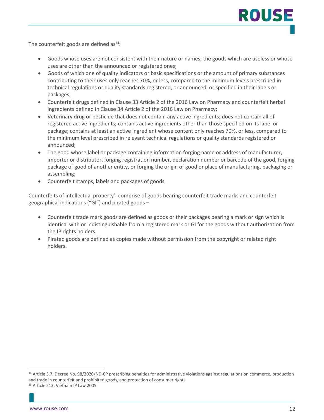The counterfeit goods are defined as $^{14}$ :

- Goods whose uses are not consistent with their nature or names; the goods which are useless or whose uses are other than the announced or registered ones;
- Goods of which one of quality indicators or basic specifications or the amount of primary substances contributing to their uses only reaches 70%, or less, compared to the minimum levels prescribed in technical regulations or quality standards registered, or announced, or specified in their labels or packages;
- Counterfeit drugs defined in Clause 33 Article 2 of the 2016 Law on Pharmacy and counterfeit herbal ingredients defined in Clause 34 Article 2 of the 2016 Law on Pharmacy;
- Veterinary drug or pesticide that does not contain any active ingredients; does not contain all of registered active ingredients; contains active ingredients other than those specified on its label or package; contains at least an active ingredient whose content only reaches 70%, or less, compared to the minimum level prescribed in relevant technical regulations or quality standards registered or announced;
- The good whose label or package containing information forging name or address of manufacturer, importer or distributor, forging registration number, declaration number or barcode of the good, forging package of good of another entity, or forging the origin of good or place of manufacturing, packaging or assembling;
- Counterfeit stamps, labels and packages of goods.

Counterfeits of intellectual property<sup>15</sup> comprise of goods bearing counterfeit trade marks and counterfeit geographical indications ("GI") and pirated goods –

- Counterfeit trade mark goods are defined as goods or their packages bearing a mark or sign which is identical with or indistinguishable from a registered mark or GI for the goods without authorization from the IP rights holders.
- Pirated goods are defined as copies made without permission from the copyright or related right holders.

<sup>14</sup> Article 3.7, Decree No. 98/2020/ND-CP prescribing penalties for administrative violations against regulations on commerce, production and trade in counterfeit and prohibited goods, and protection of consumer rights <sup>15</sup> Article 213, Vietnam IP Law 2005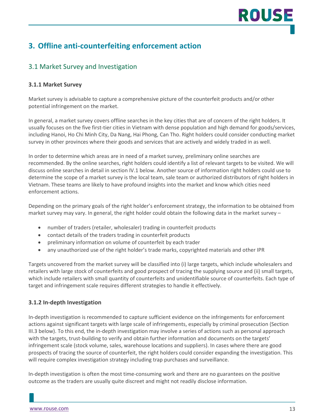# ROUS

### <span id="page-12-0"></span>**3. Offline anti-counterfeiting enforcement action**

#### <span id="page-12-1"></span>3.1 Market Survey and Investigation

#### **3.1.1 Market Survey**

Market survey is advisable to capture a comprehensive picture of the counterfeit products and/or other potential infringement on the market.

In general, a market survey covers offline searches in the key cities that are of concern of the right holders. It usually focuses on the five first-tier cities in Vietnam with dense population and high demand for goods/services, including Hanoi, Ho Chi Minh City, Da Nang, Hai Phong, Can Tho. Right holders could consider conducting market survey in other provinces where their goods and services that are actively and widely traded in as well.

In order to determine which areas are in need of a market survey, preliminary online searches are recommended. By the online searches, right holders could identify a list of relevant targets to be visited. We will discuss online searches in detail in section IV.1 below. Another source of information right holders could use to determine the scope of a market survey is the local team, sale team or authorized distributors of right holders in Vietnam. These teams are likely to have profound insights into the market and know which cities need enforcement actions.

Depending on the primary goals of the right holder's enforcement strategy, the information to be obtained from market survey may vary. In general, the right holder could obtain the following data in the market survey –

- number of traders (retailer, wholesaler) trading in counterfeit products
- contact details of the traders trading in counterfeit products
- preliminary information on volume of counterfeit by each trader
- any unauthorized use of the right holder's trade marks, copyrighted materials and other IPR

Targets uncovered from the market survey will be classified into (i) large targets, which include wholesalers and retailers with large stock of counterfeits and good prospect of tracing the supplying source and (ii) small targets, which include retailers with small quantity of counterfeits and unidentifiable source of counterfeits. Each type of target and infringement scale requires different strategies to handle it effectively.

#### **3.1.2 In-depth Investigation**

In-depth investigation is recommended to capture sufficient evidence on the infringements for enforcement actions against significant targets with large scale of infringements, especially by criminal prosecution (Section III.3 below). To this end, the in-depth investigation may involve a series of actions such as personal approach with the targets, trust-building to verify and obtain further information and documents on the targets' infringement scale (stock volume, sales, warehouse locations and suppliers). In cases where there are good prospects of tracing the source of counterfeit, the right holders could consider expanding the investigation. This will require complex investigation strategy including trap purchases and surveillance.

In-depth investigation is often the most time-consuming work and there are no guarantees on the positive outcome as the traders are usually quite discreet and might not readily disclose information.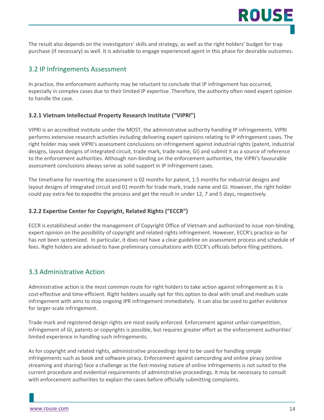ROUSI

#### <span id="page-13-0"></span>3.2 IP Infringements Assessment

In practice, the enforcement authority may be reluctant to conclude that IP infringement has occurred, especially in complex cases due to their limited IP expertise. Therefore, the authority often need expert opinion to handle the case.

#### **3.2.1 Vietnam Intellectual Property Research Institute ("VIPRI")**

VIPRI is an accredited institute under the MOST, the administrative authority handling IP infringements. VIPRI performs extensive research activities including delivering expert opinions relating to IP infringement cases. The right holder may seek VIPRI's assessment conclusions on infringement against industrial rights (patent, industrial designs, layout designs of integrated circuit, trade mark, trade name, GI) and submit it as a source of reference to the enforcement authorities. Although non-binding on the enforcement authorities, the VIPRI's favourable assessment conclusions always serve as solid support in IP infringement cases.

The timeframe for reverting the assessment is 02 months for patent, 1.5 months for industrial designs and layout designs of integrated circuit and 01 month for trade mark, trade name and GI. However, the right holder could pay extra fee to expedite the process and get the result in under 12, 7 and 5 days, respectively.

#### **3.2.2 Expertise Center for Copyright, Related Rights ("ECCR")**

ECCR is establishesd under the management of Copyright Office of Vietnam and authorized to issue non-binding, expert opinion on the possibility of copyright and related rights infringement. However, ECCR's practice so far has not been systemized. In particular, it does not have a clear guideline on assessment process and schedule of fees. Right holders are advised to have preliminary consultations with ECCR's officials before filing petitions.

#### <span id="page-13-1"></span>3.3 Administrative Action

Administrative action is the most common route for right holders to take action against infringement as it is cost-effective and time-efficient. Right holders usually opt for this option to deal with small and medium scale infringement with aims to stop ongoing IPR infringement immediately. It can also be used to gather evidence for larger-scale infringement.

Trade mark and registered design rights are most easily enforced. Enforcement against unfair-competition, infringement of GI, patents or copyrights is possible, but requires greater effort as the enforcement authorities' limited experience in handling such infringements.

As for copyright and related rights, administrative proceedings tend to be used for handling simple infringements such as book and software piracy. Enforcement against camcording and online piracy (online streaming and sharing) face a challenge as the fast-moving nature of online infringements is not suited to the current procedure and evidential requirements of administrative proceedings. It may be necessary to consult with enforcement authorities to explain the cases before officially submitting complaints.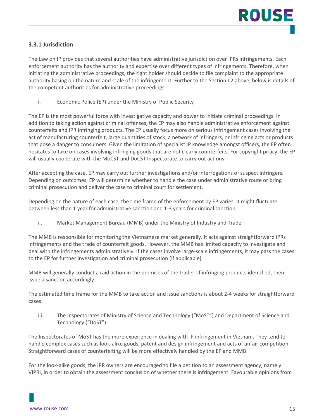#### **3.3.1 Jurisdiction**

The Law on IP provides that several authorities have administrative jurisdiction over IPRs infringements. Each enforcement authority has the authority and expertise over different types of infringements. Therefore, when initiating the administrative proceedings, the right holder should decide to file complaint to the appropriate authority basing on the nature and scale of the infringement. Further to the Section I.2 above, below is details of the competent authorities for administrative proceedings.

i. Economic Police (EP) under the Ministry of Public Security

The EP is the most powerful force with investigative capacity and power to initiate criminal proceedings. In addition to taking action against criminal offenses, the EP may also handle administrative enforcement against counterfeits and IPR infringing products. The EP usually focus more on serious infringement cases involving the act of manufacturing counterfeit, large quantities of stock, a network of infringers, or infringing acts or products that pose a danger to consumers. Given the limitation of specialist IP knowledge amongst officers, the EP often hesitates to take on cases involving infringing goods that are not clearly counterfeits. For copyright piracy, the EP will usually cooperate with the MoCST and DoCST Inspectorate to carry out actions.

After accepting the case, EP may carry out further investigations and/or interrogations of suspect infringers. Depending on outcomes, EP will determine whether to handle the case under administrative route or bring criminal prosecution and deliver the case to criminal court for settlement.

Depending on the nature of each case, the time frame of the enforcement by EP varies. It might fluctuate between less than 1 year for administrative sanction and 1-3 years for criminal sanction.

ii. Market Management Bureau (MMB) under the Ministry of Industry and Trade

The MMB is responsible for monitoring the Vietnamese market generally. It acts against straightforward IPRs infringements and the trade of counterfeit goods. However, the MMB has limited capacity to investigate and deal with the infringements administratively. If the cases involve large-scale infringements, it may pass the cases to the EP for further investigation and criminal prosecution (if applicable).

MMB will generally conduct a raid action in the premises of the trader of infringing products identified, then issue a sanction accordingly.

The estimated time frame for the MMB to take action and issue sanctions is about 2-4 weeks for straightforward cases.

iii. The Inspectorates of Ministry of Science and Technology ("MoST") and Department of Science and Technology ("DoST")

The Inspectorates of MoST has the more experience in dealing with IP infringement in Vietnam. They tend to handle complex cases such as look-alike goods, patent and design infringement and acts of unfair competition. Straightforward cases of counterfeiting will be more effectively handled by the EP and MMB.

For the look-alike goods, the IPR owners are encouraged to file a petition to an assessment agency, namely VIPRI, in order to obtain the assessment conclusion of whether there is infringement. Favourable opinions from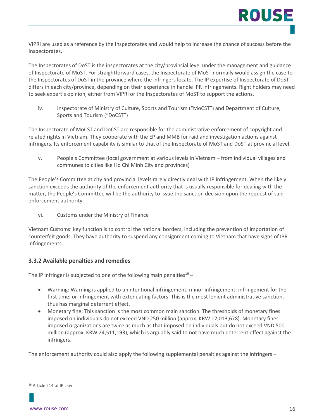VIPRI are used as a reference by the Inspectorates and would help to increase the chance of success before the Inspectorates.

The Inspectorates of DoST is the inspectorates at the city/provincial level under the management and guidance of Inspectorate of MoST. For straightforward cases, the Inspectorate of MoST normally would assign the case to the Inspectorates of DoST in the province where the infringers locate. The IP expertise of Inspectorate of DoST differs in each city/province, depending on their experience in handle IPR infringements. Right holders may need to seek expert's opinion, either from VIPRI or the Inspectorates of MoST to support the actions.

iv. Inspectorate of Ministry of Culture, Sports and Tourism ("MoCST") and Department of Culture, Sports and Tourism ("DoCST")

The Inspectorate of MoCST and DoCST are responsible for the administrative enforcement of copyright and related rights in Vietnam. They cooperate with the EP and MMB for raid and investigation actions against infringers. Its enforcement capability is similar to that of the Inspectorate of MoST and DoST at provincial level.

v. People's Committee (local government at various levels in Vietnam – from individual villages and communes to cities like Ho Chi Minh City and provinces)

The People's Committee at city and provincial levels rarely directly deal with IP infringement. When the likely sanction exceeds the authority of the enforcement authority that is usually responsible for dealing with the matter, the People's Committee will be the authority to issue the sanction decision upon the request of said enforcement authority.

vi. Customs under the Ministry of Finance

Vietnam Customs' key function is to control the national borders, including the prevention of importation of counterfeit goods. They have authority to suspend any consignment coming to Vietnam that have signs of IPR infringements.

#### **3.3.2 Available penalties and remedies**

The IP infringer is subjected to one of the following main penalties<sup>16</sup> –

- Warning: Warning is applied to unintentional infringement; minor infringement; infringement for the first time; or infringement with extenuating factors. This is the most lenient administrative sanction, thus has marginal deterrent effect.
- Monetary fine: This sanction is the most common main sanction. The thresholds of monetary fines imposed on individuals do not exceed VND 250 million (approx. KRW 12,013,678). Monetary fines imposed organizations are twice as much as that imposed on individuals but do not exceed VND 500 million (approx. KRW 24,511,193), which is arguably said to not have much deterrent effect against the infringers.

The enforcement authority could also apply the following supplemental penalties against the infringers –

<sup>16</sup> Article 214 of IP Law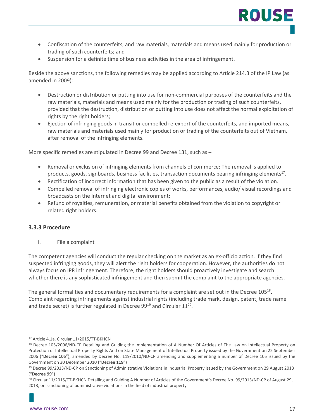- Confiscation of the counterfeits, and raw materials, materials and means used mainly for production or trading of such counterfeits; and
- Suspension for a definite time of business activities in the area of infringement.

Beside the above sanctions, the following remedies may be applied according to Article 214.3 of the IP Law (as amended in 2009):

- Destruction or distribution or putting into use for non-commercial purposes of the counterfeits and the raw materials, materials and means used mainly for the production or trading of such counterfeits, provided that the destruction, distribution or putting into use does not affect the normal exploitation of rights by the right holders;
- Ejection of infringing goods in transit or compelled re-export of the counterfeits, and imported means, raw materials and materials used mainly for production or trading of the counterfeits out of Vietnam, after removal of the infringing elements.

More specific remedies are stipulated in Decree 99 and Decree 131, such as –

- Removal or exclusion of infringing elements from channels of commerce: The removal is applied to products, goods, signboards, business facilities, transaction documents bearing infringing elements<sup>17</sup>.
- Rectification of incorrect information that has been given to the public as a result of the violation.
- Compelled removal of infringing electronic copies of works, performances, audio/ visual recordings and broadcasts on the Internet and digital environment;
- Refund of royalties, remuneration, or material benefits obtained from the violation to copyright or related right holders.

#### **3.3.3 Procedure**

i. File a complaint

The competent agencies will conduct the regular checking on the market as an ex-officio action. If they find suspected infringing goods, they will alert the right holders for cooperation. However, the authorities do not always focus on IPR infringement. Therefore, the right holders should proactively investigate and search whether there is any sophisticated infringement and then submit the complaint to the appropriate agencies.

The general formalities and documentary requirements for a complaint are set out in the Decree 105<sup>18</sup>. Complaint regarding infringements against industrial rights (including trade mark, design, patent, trade name and trade secret) is further regulated in Decree  $99^{19}$  and Circular  $11^{20}$ .

<sup>17</sup> Article 4.1a, Circular 11/2015/TT-BKHCN

<sup>18</sup> Decree 105/2006/ND-CP Detailing and Guiding the Implementation of A Number Of Articles of The Law on Intellectual Property on Protection of Intellectual Property Rights And on State Management of Intellectual Property issued by the Government on 22 September 2006 ("**Decree 105**"), amended by Decree No. 119/2010/ND-CP amending and supplementing a number of Decree 105 issued by the Government on 30 December 2010 ("**Decree 119**")

<sup>19</sup> Decree 99/2013/ND-CP on Sanctioning of Administrative Violations in Industrial Property issued by the Government on 29 August 2013 ("**Decree 99**")

<sup>&</sup>lt;sup>20</sup> Circular 11/2015/TT-BKHCN Detailing and Guiding A Number of Articles of the Government's Decree No. 99/2013/ND-CP of August 29, 2013, on sanctioning of administrative violations in the field of industrial property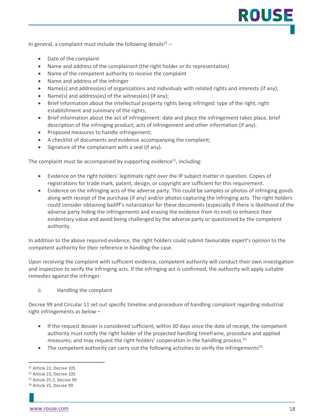In general, a complaint must include the following details<sup>21</sup> –

- Date of the complaint
- Name and address of the complainant (the right holder or its representative)
- Name of the competent authority to receive the complaint
- Name and address of the infringer
- Name(s) and address(es) of organizations and individuals with related rights and interests (if any);
- Name(s) and address(es) of the witness(es) (if any);
- Brief information about the intellectual property rights being infringed: type of the right, right establishment and summary of the rights;
- Brief information about the act of infringement: date and place the infringement takes place, brief description of the infringing product, acts of infringement and other information (if any).
- Proposed measures to handle infringement;
- A checklist of documents and evidence accompanying the complaint;
- Signature of the complainant with a seal (if any).

The complaint must be accompanied by supporting evidence<sup>22</sup>, including:

- Evidence on the right holders' legitimate right over the IP subject matter in question. Copies of registrations for trade mark, patent, design, or copyright are sufficient for this requirement.
- Evidence on the infringing acts of the adverse party. This could be samples or photos of infringing goods along with receipt of the purchase (if any) and/or photos capturing the infringing acts. The right holders could consider obtaining bailiff's notarization for these documents (especially if there is likelihood of the adverse party hiding the infringements and erasing the evidence from its end) to enhance their evidentiary value and avoid being challenged by the adverse party or questioned by the competent authority.

In addition to the above required evidence, the right holders could submit favourable expert's opinion to the competent authority for their reference in handling the case.

Upon receiving the complaint with sufficient evidence, competent authority will conduct their own investigation and inspection to verify the infringing acts. If the infringing act is confirmed, the authority will apply suitable remedies against the infringer.

ii. Handling the complaint

Decree 99 and Circular 11 set out specific timeline and procedure of handling complaint regarding industrial right infringements as below –

- If the request dossier is considered sufficient, within 30 days since the date of receipt, the competent authority must notify the right holder of the projected handling timeframe, procedure and applied measures; and may request the right holders' cooperation in the handling process.<sup>23</sup>
- The competent authority can carry out the following activities to verify the infringements<sup>24</sup>:

ROUS

<sup>21</sup> Article 22, Decree 105

<sup>22</sup> Article 23, Decree 105

<sup>23</sup> Article 25.2, Decree 99

<sup>24</sup> Article 25, Decree 99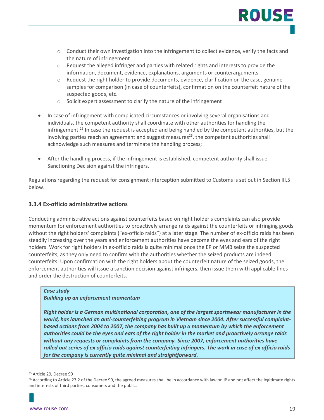

- $\circ$  Conduct their own investigation into the infringement to collect evidence, verify the facts and the nature of infringement
- $\circ$  Request the alleged infringer and parties with related rights and interests to provide the information, document, evidence, explanations, arguments or counterarguments
- $\circ$  Request the right holder to provide documents, evidence, clarification on the case, genuine samples for comparison (in case of counterfeits), confirmation on the counterfeit nature of the suspected goods, etc.
- o Solicit expert assessment to clarify the nature of the infringement
- In case of infringement with complicated circumstances or involving several organisations and individuals, the competent authority shall coordinate with other authorities for handling the infringement. <sup>25</sup> In case the request is accepted and being handled by the competent authorities, but the involving parties reach an agreement and suggest measures<sup>26</sup>, the competent authorities shall acknowledge such measures and terminate the handling process;
- After the handling process, if the infringement is established, competent authority shall issue Sanctioning Decision against the infringers.

Regulations regarding the request for consignment interception submitted to Customs is set out in Section III.5 below.

#### **3.3.4 Ex-officio administrative actions**

Conducting administrative actions against counterfeits based on right holder's complaints can also provide momentum for enforcement authorities to proactively arrange raids against the counterfeits or infringing goods without the right holders' complaints ("ex-officio raids") at a later stage. The number of ex-officio raids has been steadily increasing over the years and enforcement authorities have become the eyes and ears of the right holders. Work for right holders in ex-officio raids is quite minimal once the EP or MMB seize the suspected counterfeits, as they only need to confirm with the authorities whether the seized products are indeed counterfeits. Upon confirmation with the right holders about the counterfeit nature of the seized goods, the enforcement authorities will issue a sanction decision against infringers, then issue them with applicable fines and order the destruction of counterfeits.

#### *Case study*

#### *Building up an enforcement momentum*

*Right holder is a German multinational corporation, one of the largest sportswear manufacturer in the world, has launched an anti-counterfeiting program in Vietnam since 2004. After successful complaintbased actions from 2004 to 2007, the company has built up a momentum by which the enforcement authorities could be the eyes and ears of the right holder in the market and proactively arrange raids without any requests or complaints from the company. Since 2007, enforcement authorities have rolled out series of ex officio raids against counterfeiting infringers. The work in case of ex officio raids for the company is currently quite minimal and straightforward.* 

<sup>25</sup> Article 29, Decree 99

 $26$  According to Article 27.2 of the Decree 99, the agreed measures shall be in accordance with law on IP and not affect the legitimate rights and interests of third parties, consumers and the public.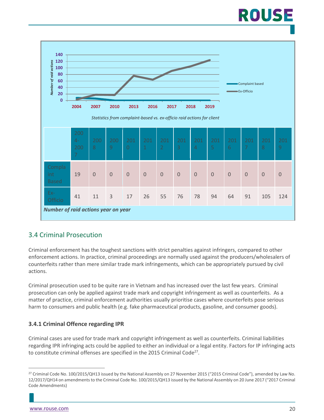# ROUSE



#### <span id="page-19-0"></span>3.4 Criminal Prosecution

Criminal enforcement has the toughest sanctions with strict penalties against infringers, compared to other enforcement actions. In practice, criminal proceedings are normally used against the producers/wholesalers of counterfeits rather than mere similar trade mark infringements, which can be appropriately pursued by civil actions.

Criminal prosecution used to be quite rare in Vietnam and has increased over the last few years. Criminal prosecution can only be applied against trade mark and copyright infringement as well as counterfeits. As a matter of practice, criminal enforcement authorities usually prioritise cases where counterfeits pose serious harm to consumers and public health (e.g. fake pharmaceutical products, gasoline, and consumer goods).

#### **3.4.1 Criminal Offence regarding IPR**

Criminal cases are used for trade mark and copyright infringement as well as counterfeits. Criminal liabilities regarding IPR infringing acts could be applied to either an individual or a legal entity. Factors for IP infringing acts to constitute criminal offenses are specified in the 2015 Criminal Code<sup>27</sup>.

<sup>27</sup> Criminal Code No. 100/2015/QH13 issued by the National Assembly on 27 November 2015 ("2015 Criminal Code"), amended by Law No. 12/2017/QH14 on amendments to the Criminal Code No. 100/2015/QH13 issued by the National Assembly on 20 June 2017 ("2017 Criminal Code Amendments)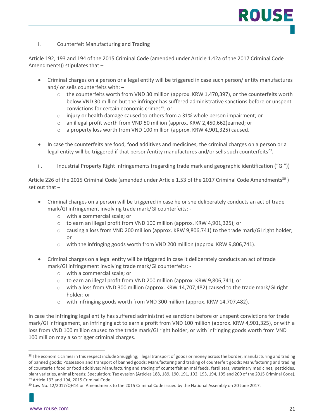i. Counterfeit Manufacturing and Trading

Article 192, 193 and 194 of the 2015 Criminal Code (amended under Article 1.42a of the 2017 Criminal Code Amendments)) stipulates that –

- Criminal charges on a person or a legal entity will be triggered in case such person/ entity manufactures and/ or sells counterfeits with: –
	- $\circ$  the counterfeits worth from VND 30 million (approx. KRW 1,470,397), or the counterfeits worth below VND 30 million but the infringer has suffered administrative sanctions before or unspent convictions for certain economic crimes<sup>28</sup>; or
	- o injury or health damage caused to others from a 31% whole person impairment; or
	- o an illegal profit worth from VND 50 million (approx. KRW 2,450,662)earned; or
	- o a property loss worth from VND 100 million (approx. KRW 4,901,325) caused.
- In case the counterfeits are food, food additives and medicines, the criminal charges on a person or a legal entity will be triggered if that person/entity manufactures and/or sells such counterfeits<sup>29</sup>.
- ii. Industrial Property Right Infringements (regarding trade mark and geographic identification ("GI"))

Article 226 of the 2015 Criminal Code (amended under Article 1.53 of the 2017 Criminal Code Amendments<sup>30</sup>) set out that –

- Criminal charges on a person will be triggered in case he or she deliberately conducts an act of trade mark/GI infringement involving trade mark/GI counterfeits:
	- o with a commercial scale; or
	- o to earn an illegal profit from VND 100 million (approx. KRW 4,901,325); or
	- o causing a loss from VND 200 million (approx. KRW 9,806,741) to the trade mark/GI right holder; or
	- o with the infringing goods worth from VND 200 million (approx. KRW 9,806,741).
- Criminal charges on a legal entity will be triggered in case it deliberately conducts an act of trade mark/GI infringement involving trade mark/GI counterfeits:
	- o with a commercial scale; or
	- o to earn an illegal profit from VND 200 million (approx. KRW 9,806,741); or
	- o with a loss from VND 300 million (approx. KRW 14,707,482) caused to the trade mark/GI right holder; or
	- $\circ$  with infringing goods worth from VND 300 million (approx. KRW 14,707,482).

In case the infringing legal entity has suffered administrative sanctions before or unspent convictions for trade mark/GI infringement, an infringing act to earn a profit from VND 100 million (approx. KRW 4,901,325), or with a loss from VND 100 million caused to the trade mark/GI right holder, or with infringing goods worth from VND 100 million may also trigger criminal charges.

<sup>&</sup>lt;sup>28</sup> The economic crimes in this respect include Smuggling; Illegal transport of goods or money across the border, manufacturing and trading of banned goods; Possession and transport of banned goods; Manufacturing and trading of counterfeit goods; Manufacturing and trading of counterfeit food or food additives; Manufacturing and trading of counterfeit animal feeds, fertilizers, veterinary medicines, pesticides, plant varieties, animal breeds; Speculation; Tax evasion (Articles 188, 189, 190, 191, 192, 193, 194, 195 and 200 of the 2015 Criminal Code). <sup>29</sup> Article 193 and 194, 2015 Criminal Code.

<sup>&</sup>lt;sup>30</sup> Law No. 12/2017/QH14 on Amendments to the 2015 Criminal Code issued by the National Assembly on 20 June 2017.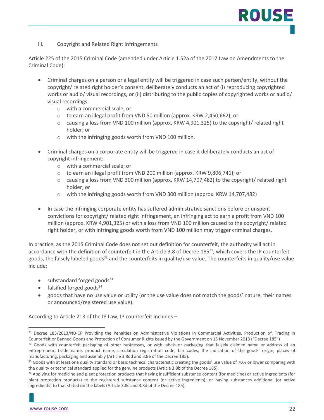iii. Copyright and Related Right Infringements

Article 225 of the 2015 Criminal Code (amended under Article 1.52a of the 2017 Law on Amendments to the Criminal Code):

- Criminal charges on a person or a legal entity will be triggered in case such person/entity, without the copyright/ related right holder's consent, deliberately conducts an act of (i) reproducing copyrighted works or audio/ visual recordings, or (ii) distributing to the public copies of copyrighted works or audio/ visual recordings:
	- o with a commercial scale; or
	- o to earn an illegal profit from VND 50 million (approx. KRW 2,450,662); or
	- $\circ$  causing a loss from VND 100 million (approx. KRW 4,901,325) to the copyright/ related right holder; or
	- o with the infringing goods worth from VND 100 million.
- Criminal charges on a corporate entity will be triggered in case it deliberately conducts an act of copyright infringement:
	- o with a commercial scale; or
	- o to earn an illegal profit from VND 200 million (approx. KRW 9,806,741); or
	- $\circ$  causing a loss from VND 300 million (approx. KRW 14,707,482) to the copyright/ related right holder; or
	- o with the infringing goods worth from VND 300 million (approx. KRW 14,707,482)
- In case the infringing corporate entity has suffered administrative sanctions before or unspent convictions for copyright/ related right infringement, an infringing act to earn a profit from VND 100 million (approx. KRW 4,901,325) or with a loss from VND 100 million caused to the copyright/ related right holder, or with infringing goods worth from VND 100 million may trigger criminal charges.

In practice, as the 2015 Criminal Code does not set out definition for counterfeit, the authority will act in accordance with the definition of counterfeit in the Article 3.8 of Decree 185 $^{31}$ , which covers the IP counterfeit goods, the falsely labeled goods<sup>32</sup> and the counterfeits in quality/use value. The counterfeits in quality/use value include:

- $\bullet$  substandard forged goods<sup>33</sup>
- falsified forged goods $34$
- goods that have no use value or utility (or the use value does not match the goods' nature, their names or announced/registered use value).

According to Article 213 of the IP Law, IP counterfeit includes –

<sup>&</sup>lt;sup>31</sup> Decree 185/2013/ND-CP Providing the Penalties on Administrative Violations in Commercial Activities, Production of, Trading in Counterfeit or Banned Goods and Protection of Consumer Rights issued by the Government on 15 November 2013 ("Decree 185")

<sup>&</sup>lt;sup>32</sup> Goods with counterfeit packaging of other businesses, or with labels or packaging that falsely claimed name or address of an entrepreneur, trade name, product name, circulation registration code, bar codes, the indication of the goods' origin, places of manufacturing, packaging and assembly (Article 3.8dd and 3.8e of the Decree 185).

<sup>&</sup>lt;sup>33</sup> Goods with at least one quality standard or basic technical characteristic creating the goods' use value of 70% or lower comparing with the quality or technical standard applied for the genuine products (Article 3.8b of the Decree 185).

<sup>34</sup> Applying for medicine and plant protection products that having insufficient substance content (for medicine) or active ingredients (for plant protection products) to the registered substance content (or active ingredients); or having substances additional (or active ingredients) to that stated on the labels (Article 3.8c and 3.8d of the Decree 185).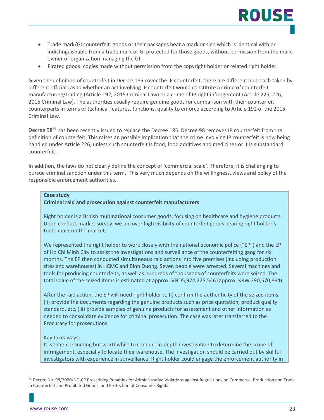- Trade mark/GI counterfeit: goods or their packages bear a mark or sign which is identical with or indistinguishable from a trade mark or GI protected for those goods, without permission from the mark owner or organization managing the GI.
- Pirated goods: copies made without permission from the copyright holder or related right holder.

Given the definition of counterfeit in Decree 185 cover the IP counterfeit, there are different approach taken by different officials as to whether an act involving IP counterfeit would constitute a crime of counterfeit manufacturing/trading (Article 192, 2015 Criminal Law) or a crime of IP right infringement (Article 225, 226, 2015 Criminal Law). The authorities usually require genuine goods for comparison with their counterfeit counterparts in terms of technical features, functions, quality to enforce according to Article 192 of the 2015 Criminal Law.

Decree 98<sup>35</sup> has been recently issued to replace the Decree 185. Decree 98 removes IP counterfeit from the definition of counterfeit. This raises an possible implication that the crime involving IP counterfeit is now being handled under Article 226, unless such counterfeit is food, food additives and medicines or it is substandard counterfeit.

In addition, the laws do not clearly define the concept of 'commercial scale'. Therefore, it is challenging to pursue criminal sanction under this term. This very much depends on the willingness, views and policy of the responsible enforcement authorities.

#### **Case study**

#### **Criminal raid and prosecution against counterfeit manufacturers**

Right holder is a British multinational consumer goods, focusing on healthcare and hygiene products. Upon conduct market survey, we uncover high visibility of counterfeit goods bearing right holder's trade mark on the market.

We represented the right holder to work closely with the national economic police ("EP") and the EP of Ho Chi Minh City to assist the investigations and surveillance of the counterfeiting gang for six months. The EP then conducted simultaneous raid actions into five premises (including production sites and warehouses) in HCMC and Binh Duong. Seven people were arrested. Several machines and tools for producing counterfeits, as well as hundreds of thousands of counterfeits were seized. The total value of the seized items is estimated at approx. VND5,974,225,546 (approx. KRW 290,570,864).

After the raid action, the EP will need right holder to (i) confirm the authenticity of the seized items, (ii) provide the documents regarding the genuine products such as price quotation, product quality standard, etc, (iii) provide samples of genuine products for assessment and other information as needed to consolidate evidence for criminal prosecution. The case was later transferred to the Procuracy for prosecutions.

#### Key takeaways:

It is time-consuming but worthwhile to conduct in-depth investigation to determine the scope of infringement, especially to locate their warehouse. The investigation should be carried out by skillful investigators with experience in surveillance. Right holder could engage the enforcement authority in

<sup>35</sup> Decree No. 98/2020/ND-CP Prescribing Penalties for Administrative Violations against Regulations on Commerce, Production and Trade in Counterfeit and Prohibited Goods, and Protection of Consumer Rights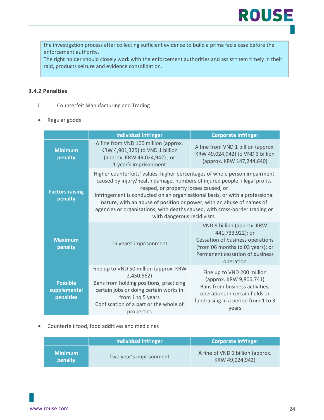the investigation process after collecting sufficient evidence to build a prima facie case before the enforcement authority.

The right holder should closely work with the enforcement authorities and assist them timely in their raid, products seizure and evidence consolidation.

#### **3.4.2 Penalties**

- i. Counterfeit Manufacturing and Trading
- Regular goods

|                                              | <b>Individual Infringer</b>                                                                                                                                                                                                                                                                                                                                                                                                                                             | <b>Corporate Infringer</b>                                                                                                                                                 |
|----------------------------------------------|-------------------------------------------------------------------------------------------------------------------------------------------------------------------------------------------------------------------------------------------------------------------------------------------------------------------------------------------------------------------------------------------------------------------------------------------------------------------------|----------------------------------------------------------------------------------------------------------------------------------------------------------------------------|
| <b>Minimum</b><br>penalty                    | A fine from VND 100 million (approx.<br>KRW 4,901,325) to VND 1 billion<br>(approx. KRW 49,024,942) ; or<br>1 year's imprisonment                                                                                                                                                                                                                                                                                                                                       | A fine from VND 1 billion (approx.<br>KRW 49,024,942) to VND 3 billion<br>(approx. KRW 147,244,640)                                                                        |
| <b>Factors raising</b><br>penalty            | Higher counterfeits' values, higher percentages of whole person impairment<br>caused by injury/health damage, numbers of injured people, illegal profits<br>reaped, or property losses caused; or<br>Infringement is conducted on an organisational basis, or with a professional<br>nature, with an abuse of position or power, with an abuse of names of<br>agencies or organisations, with deaths caused, with cross-border trading or<br>with dangerous recidivism. |                                                                                                                                                                            |
| <b>Maximum</b><br>penalty                    | 15 years' imprisonment                                                                                                                                                                                                                                                                                                                                                                                                                                                  | VND 9 billion (approx. KRW<br>441,733,922); or<br>Cessation of business operations<br>(from 06 months to 03 years); or<br>Permanent cessation of business<br>operation     |
| <b>Possible</b><br>supplemental<br>penalties | Fine up to VND 50 million (approx. KRW<br>2,450,662)<br>Bans from holding positions, practicing<br>certain jobs or doing certain works in<br>from 1 to 5 years<br>Confiscation of a part or the whole of<br>properties                                                                                                                                                                                                                                                  | Fine up to VND 200 million<br>(approx. KRW 9,806,741)<br>Bans from business activities,<br>operations in certain fields or<br>fundraising in a period from 1 to 3<br>vears |

• Counterfeit food, food additives and medicines

|                           | Individual Infringer    | <b>Corporate Infringer</b>                          |
|---------------------------|-------------------------|-----------------------------------------------------|
| <b>Minimum</b><br>penalty | Two year's imprisonment | A fine of VND 1 billion (approx.<br>KRW 49,024,942) |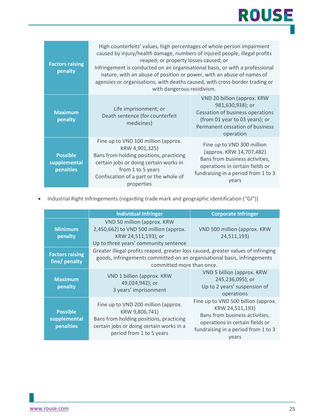| <b>Factors raising</b><br>penalty            | High counterfeits' values, high percentages of whole person impairment<br>caused by injury/health damage, numbers of injured people, illegal profits<br>reaped, or property losses caused; or<br>Infringement is conducted on an organisational basis, or with a professional<br>nature, with an abuse of position or power, with an abuse of names of<br>agencies or organisations, with deaths caused, with cross-border trading or<br>with dangerous recidivism. |                                                                                                                                                                             |  |
|----------------------------------------------|---------------------------------------------------------------------------------------------------------------------------------------------------------------------------------------------------------------------------------------------------------------------------------------------------------------------------------------------------------------------------------------------------------------------------------------------------------------------|-----------------------------------------------------------------------------------------------------------------------------------------------------------------------------|--|
| <b>Maximum</b><br>penalty                    | Life imprisonment; or<br>Death sentence (for counterfeit<br>medicines)                                                                                                                                                                                                                                                                                                                                                                                              | VND 20 billion (approx. KRW<br>981,630,938); or<br>Cessation of business operations<br>(from 01 year to 03 years); or<br>Permanent cessation of business<br>operation       |  |
| <b>Possible</b><br>supplemental<br>penalties | Fine up to VND 100 million (approx.<br>KRW 4,901,325)<br>Bans from holding positions, practicing<br>certain jobs or doing certain works in<br>from 1 to 5 years<br>Confiscation of a part or the whole of<br>properties                                                                                                                                                                                                                                             | Fine up to VND 300 million<br>(approx. KRW 14,707,482)<br>Bans from business activities,<br>operations in certain fields or<br>fundraising in a period from 1 to 3<br>vears |  |

• Industrial Right Infringements (regarding trade mark and geographic identification ("GI"))

|                                                                                                                                                                                                                                       | <b>Individual Infringer</b>                                                                                                                                              | <b>Corporate Infringer</b>                                                                                                                                                  |
|---------------------------------------------------------------------------------------------------------------------------------------------------------------------------------------------------------------------------------------|--------------------------------------------------------------------------------------------------------------------------------------------------------------------------|-----------------------------------------------------------------------------------------------------------------------------------------------------------------------------|
| <b>Minimum</b><br>penalty                                                                                                                                                                                                             | VND 50 million (approx. KRW<br>2,450,662) to VND 500 million (approx.<br>KRW 24,511,193); or<br>Up to three years' community sentence                                    | VND 500 million (approx. KRW<br>24,511,193)                                                                                                                                 |
| Greater illegal profits reaped, greater loss caused, greater values of infringing<br><b>Factors raising</b><br>goods, infringements committed on an organisational basis, infringements<br>fine/ penalty<br>committed more than once. |                                                                                                                                                                          |                                                                                                                                                                             |
| <b>Maximum</b><br>penalty                                                                                                                                                                                                             | VND 1 billion (approx. KRW)<br>49,024,942); or<br>3 years' imprisonment                                                                                                  | VND 5 billion (approx. KRW<br>245,236,095); or<br>Up to 2 years' suspension of<br>operations                                                                                |
| <b>Possible</b><br>supplemental<br>penalties                                                                                                                                                                                          | Fine up to VND 200 million (approx.<br>KRW 9,806,741)<br>Bans from holding positions, practicing<br>certain jobs or doing certain works in a<br>period from 1 to 5 years | Fine up to VND 500 billion (approx.<br>KRW 24,511,193)<br>Bans from business activities,<br>operations in certain fields or<br>fundraising in a period from 1 to 3<br>years |

**ROUSE**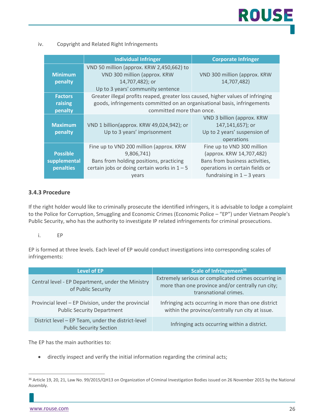

#### iv. Copyright and Related Right Infringements

|                                              | <b>Individual Infringer</b>                                                                                                                                                               | <b>Corporate Infringer</b>                                                                                                                                  |
|----------------------------------------------|-------------------------------------------------------------------------------------------------------------------------------------------------------------------------------------------|-------------------------------------------------------------------------------------------------------------------------------------------------------------|
| <b>Minimum</b><br>penalty                    | VND 50 million (approx. KRW 2,450,662) to<br>VND 300 million (approx. KRW<br>14,707,482); or<br>Up to 3 years' community sentence                                                         | VND 300 million (approx. KRW<br>14,707,482)                                                                                                                 |
| <b>Factors</b><br>raising<br>penalty         | Greater illegal profits reaped, greater loss caused, higher values of infringing<br>goods, infringements committed on an organisational basis, infringements<br>committed more than once. |                                                                                                                                                             |
| <b>Maximum</b><br>penalty                    | VND 1 billion(approx. KRW 49,024,942); or<br>Up to 3 years' imprisonment                                                                                                                  | VND 3 billion (approx. KRW<br>147,141,657); or<br>Up to 2 years' suspension of<br>operations                                                                |
| <b>Possible</b><br>supplemental<br>penalties | Fine up to VND 200 million (approx. KRW<br>9,806,741)<br>Bans from holding positions, practicing<br>certain jobs or doing certain works in $1 - 5$<br>years                               | Fine up to VND 300 million<br>(approx. KRW 14,707,482)<br>Bans from business activities,<br>operations in certain fields or<br>fundraising in $1 - 3$ years |

#### **3.4.3 Procedure**

If the right holder would like to criminally prosecute the identified infringers, it is advisable to lodge a complaint to the Police for Corruption, Smuggling and Economic Crimes (Economic Police – "EP") under Vietnam People's Public Security, who has the authority to investigate IP related infringements for criminal prosecutions.

#### i. EP

EP is formed at three levels. Each level of EP would conduct investigations into corresponding scales of infringements:

| Level of EP                                                                               | Scale of Infringement <sup>36</sup>                                                                                                |
|-------------------------------------------------------------------------------------------|------------------------------------------------------------------------------------------------------------------------------------|
| Central level - EP Department, under the Ministry<br>of Public Security                   | Extremely serious or complicated crimes occurring in<br>more than one province and/or centrally run city;<br>transnational crimes. |
| Provincial level - EP Division, under the provincial<br><b>Public Security Department</b> | Infringing acts occurring in more than one district<br>within the province/centrally run city at issue.                            |
| District level - EP Team, under the district-level<br><b>Public Security Section</b>      | Infringing acts occurring within a district.                                                                                       |

The EP has the main authorities to:

• directly inspect and verify the initial information regarding the criminal acts;

<sup>36</sup> Article 19, 20, 21, Law No. 99/2015/QH13 on Organization of Criminal Investigation Bodies issued on 26 November 2015 by the National Assembly.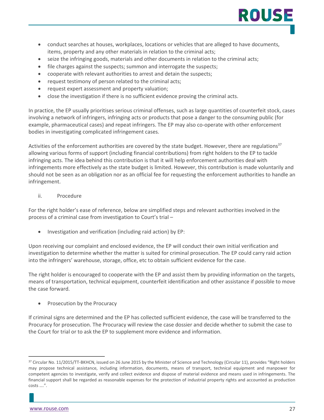

ROUSI

- seize the infringing goods, materials and other documents in relation to the criminal acts;
- file charges against the suspects; summon and interrogate the suspects;
- cooperate with relevant authorities to arrest and detain the suspects;
- request testimony of person related to the criminal acts;
- request expert assessment and property valuation;
- close the investigation if there is no sufficient evidence proving the criminal acts.

In practice, the EP usually prioritises serious criminal offenses, such as large quantities of counterfeit stock, cases involving a network of infringers, infringing acts or products that pose a danger to the consuming public (for example, pharmaceutical cases) and repeat infringers. The EP may also co-operate with other enforcement bodies in investigating complicated infringement cases.

Activities of the enforcement authorities are covered by the state budget. However, there are regulations $37$ allowing various forms of support (including financial contributions) from right holders to the EP to tackle infringing acts. The idea behind this contribution is that it will help enforcement authorities deal with infringements more effectively as the state budget is limited. However, this contribution is made voluntarily and should not be seen as an obligation nor as an official fee for requesting the enforcement authorities to handle an infringement.

ii. Procedure

For the right holder's ease of reference, below are simplified steps and relevant authorities involved in the process of a criminal case from investigation to Court's trial –

• Investigation and verification (including raid action) by EP:

Upon receiving our complaint and enclosed evidence, the EP will conduct their own initial verification and investigation to determine whether the matter is suited for criminal prosecution. The EP could carry raid action into the infringers' warehouse, storage, office, etc to obtain sufficient evidence for the case.

The right holder is encouraged to cooperate with the EP and assist them by providing information on the targets, means of transportation, technical equipment, counterfeit identification and other assistance if possible to move the case forward.

Prosecution by the Procuracy

If criminal signs are determined and the EP has collected sufficient evidence, the case will be transferred to the Procuracy for prosecution. The Procuracy will review the case dossier and decide whether to submit the case to the Court for trial or to ask the EP to supplement more evidence and information.

<sup>&</sup>lt;sup>37</sup> Circular No. 11/2015/TT-BKHCN, issued on 26 June 2015 by the Minister of Science and Technology (Circular 11), provides "Right holders may propose technical assistance, including information, documents, means of transport, technical equipment and manpower for competent agencies to investigate, verify and collect evidence and dispose of material evidence and means used in infringements. The financial support shall be regarded as reasonable expenses for the protection of industrial property rights and accounted as production costs ….".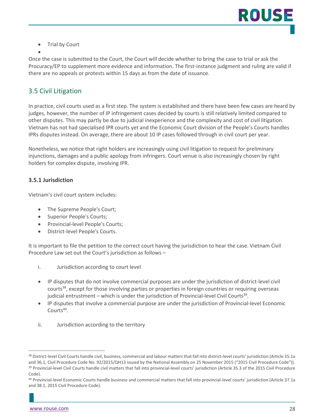• Trial by Court

•

Once the case is submitted to the Court, the Court will decide whether to bring the case to trial or ask the Procuracy/EP to supplement more evidence and information. The first-instance judgment and ruling are valid if there are no appeals or protests within 15 days as from the date of issuance.

#### <span id="page-27-0"></span>3.5 Civil Litigation

In practice, civil courts used as a first step. The system is established and there have been few cases are heard by judges, however, the number of IP infringement cases decided by courts is still relatively limited compared to other disputes. This may partly be due to judicial inexperience and the complexity and cost of civil litigation. Vietnam has not had specialised IPR courts yet and the Economic Court division of the People's Courts handles IPRs disputes instead. On average, there are about 10 IP cases followed through in civil court per year.

Nonetheless, we notice that right holders are increasingly using civil litigation to request for preliminary injunctions, damages and a public apology from infringers. Court venue is also increasingly chosen by right holders for complex dispute, involving IPR.

#### **3.5.1 Jurisdiction**

Vietnam's civil court system includes:

- The Supreme People's Court;
- Superior People's Courts;
- Provincial-level People's Courts;
- District-level People's Courts.

It is important to file the petition to the correct court having the jurisdiction to hear the case. Vietnam Civil Procedure Law set out the Court's jurisdiction as follows –

- i. Jurisdiction according to court level
- IP disputes that do not involve commercial purposes are under the jurisdiction of district-level civil courts<sup>38</sup>, except for those involving parties or properties in foreign countries or requiring overseas judicial entrustment – which is under the jurisdiction of Provincial-level Civil Courts<sup>39</sup>.
- IP disputes that involve a commercial purpose are under the jurisdiction of Provincial-level Economic Courts40.
- ii. Jurisdiction according to the territory

<sup>38</sup> District-level Civil Courts handle civil, business, commercial and labour matters that fall into district-level courts' jurisdiction (Article 35.1a and 36.1, Civil Procedure Code No. 92/2015/QH13 issued by the National Assembly on 25 November 2015 ("2015 Civil Procedure Code")). <sup>39</sup> Provincial-level Civil Courts handle civil matters that fall into provincial-level courts' jurisdiction (Article 35.3 of the 2015 Civil Procedure Code).

<sup>40</sup> Provincial-level Economic Courts handle business and commercial matters that fall into provincial-level courts' jurisdiction (Article 37.1a and 38.1, 2015 Civil Procedure Code).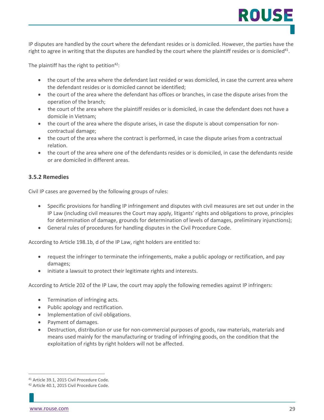IP disputes are handled by the court where the defendant resides or is domiciled. However, the parties have the right to agree in writing that the disputes are handled by the court where the plaintiff resides or is domiciled<sup>41</sup>.

The plaintiff has the right to petition<sup>42</sup>:

- the court of the area where the defendant last resided or was domiciled, in case the current area where the defendant resides or is domiciled cannot be identified;
- the court of the area where the defendant has offices or branches, in case the dispute arises from the operation of the branch;
- the court of the area where the plaintiff resides or is domiciled, in case the defendant does not have a domicile in Vietnam;
- the court of the area where the dispute arises, in case the dispute is about compensation for noncontractual damage;
- the court of the area where the contract is performed, in case the dispute arises from a contractual relation.
- the court of the area where one of the defendants resides or is domiciled, in case the defendants reside or are domiciled in different areas.

#### **3.5.2 Remedies**

Civil IP cases are governed by the following groups of rules:

- Specific provisions for handling IP infringement and disputes with civil measures are set out under in the IP Law (including civil measures the Court may apply, litigants' rights and obligations to prove, principles for determination of damage, grounds for determination of levels of damages, preliminary injunctions);
- General rules of procedures for handling disputes in the Civil Procedure Code.

According to Article 198.1b, d of the IP Law, right holders are entitled to:

- request the infringer to terminate the infringements, make a public apology or rectification, and pay damages;
- initiate a lawsuit to protect their legitimate rights and interests.

According to Article 202 of the IP Law, the court may apply the following remedies against IP infringers:

- Termination of infringing acts.
- Public apology and rectification.
- Implementation of civil obligations.
- Payment of damages.
- Destruction, distribution or use for non-commercial purposes of goods, raw materials, materials and means used mainly for the manufacturing or trading of infringing goods, on the condition that the exploitation of rights by right holders will not be affected.

ROUSE

<sup>41</sup> Article 39.1, 2015 Civil Procedure Code.

<sup>42</sup> Article 40.1, 2015 Civil Procedure Code.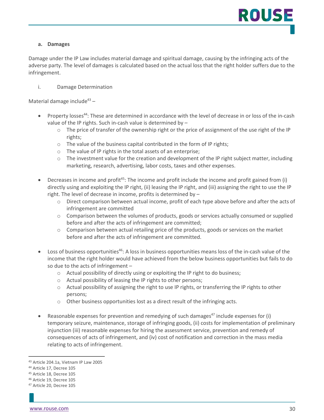#### **a. Damages**

Damage under the IP Law includes material damage and spiritual damage, causing by the infringing acts of the adverse party. The level of damages is calculated based on the actual loss that the right holder suffers due to the infringement.

i. Damage Determination

Material damage include<sup>43</sup> –

- Property losses<sup>44</sup>: These are determined in accordance with the level of decrease in or loss of the in-cash value of the IP rights. Such in-cash value is determined by –
	- o The price of transfer of the ownership right or the price of assignment of the use right of the IP rights;
	- o The value of the business capital contributed in the form of IP rights;
	- o The value of IP rights in the total assets of an enterprise;
	- $\circ$  The investment value for the creation and development of the IP right subject matter, including marketing, research, advertising, labor costs, taxes and other expenses.
- Decreases in income and profit<sup>45</sup>: The income and profit include the income and profit gained from (i) directly using and exploiting the IP right, (ii) leasing the IP right, and (iii) assigning the right to use the IP right. The level of decrease in income, profits is determined by –
	- o Direct comparison between actual income, profit of each type above before and after the acts of infringement are committed
	- o Comparison between the volumes of products, goods or services actually consumed or supplied before and after the acts of infringement are committed;
	- o Comparison between actual retailing price of the products, goods or services on the market before and after the acts of infringement are committed.
- Loss of business opportunities<sup>46</sup>: A loss in business opportunities means loss of the in-cash value of the income that the right holder would have achieved from the below business opportunities but fails to do so due to the acts of infringement –
	- $\circ$  Actual possibility of directly using or exploiting the IP right to do business;
	- o Actual possibility of leasing the IP rights to other persons;
	- o Actual possibility of assigning the right to use IP rights, or transferring the IP rights to other persons;
	- o Other business opportunities lost as a direct result of the infringing acts.
- Reasonable expenses for prevention and remedying of such damages<sup>47</sup> include expenses for (i) temporary seizure, maintenance, storage of infringing goods, (ii) costs for implementation of preliminary injunction (iii) reasonable expenses for hiring the assessment service, prevention and remedy of consequences of acts of infringement, and (iv) cost of notification and correction in the mass media relating to acts of infringement.

<sup>43</sup> Article 204.1a, Vietnam IP Law 2005

<sup>44</sup> Article 17, Decree 105

<sup>45</sup> Article 18, Decree 105

<sup>46</sup> Article 19, Decree 105

<sup>47</sup> Article 20, Decree 105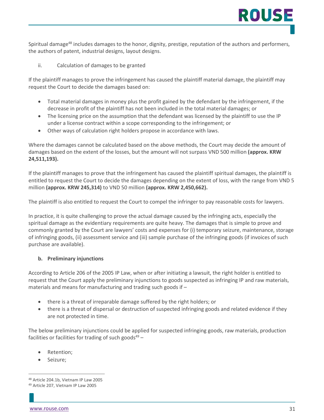Spiritual damage<sup>48</sup> includes damages to the honor, dignity, prestige, reputation of the authors and performers, the authors of patent, industrial designs, layout designs.

ii. Calculation of damages to be granted

If the plaintiff manages to prove the infringement has caused the plaintiff material damage, the plaintiff may request the Court to decide the damages based on:

- Total material damages in money plus the profit gained by the defendant by the infringement, if the decrease in profit of the plaintiff has not been included in the total material damages; or
- The licensing price on the assumption that the defendant was licensed by the plaintiff to use the IP under a license contract within a scope corresponding to the infringement; or
- Other ways of calculation right holders propose in accordance with laws.

Where the damages cannot be calculated based on the above methods, the Court may decide the amount of damages based on the extent of the losses, but the amount will not surpass VND 500 million **(approx. KRW 24,511,193).**

If the plaintiff manages to prove that the infringement has caused the plaintiff spiritual damages, the plaintiff is entitled to request the Court to decide the damages depending on the extent of loss, with the range from VND 5 million **(approx. KRW 245,314)** to VND 50 million **(approx. KRW 2,450,662).**

The plaintiff is also entitled to request the Court to compel the infringer to pay reasonable costs for lawyers.

In practice, it is quite challenging to prove the actual damage caused by the infringing acts, especially the spiritual damage as the evidentiary requirements are quite heavy. The damages that is simple to prove and commonly granted by the Court are lawyers' costs and expenses for (i) temporary seizure, maintenance, storage of infringing goods, (ii) assessment service and (iii) sample purchase of the infringing goods (if invoices of such purchase are available).

#### **b. Preliminary injunctions**

According to Article 206 of the 2005 IP Law, when or after initiating a lawsuit, the right holder is entitled to request that the Court apply the preliminary injunctions to goods suspected as infringing IP and raw materials, materials and means for manufacturing and trading such goods if –

- there is a threat of irreparable damage suffered by the right holders; or
- there is a threat of dispersal or destruction of suspected infringing goods and related evidence if they are not protected in time.

The below preliminary injunctions could be applied for suspected infringing goods, raw materials, production facilities or facilities for trading of such goods $49 -$ 

- Retention;
- Seizure:

<sup>48</sup> Article 204.1b, Vietnam IP Law 2005

<sup>49</sup> Article 207, Vietnam IP Law 2005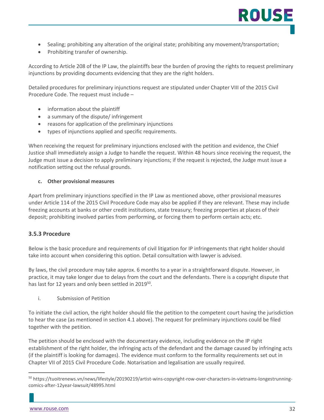- Sealing; prohibiting any alteration of the original state; prohibiting any movement/transportation;
- Prohibiting transfer of ownership.

According to Article 208 of the IP Law, the plaintiffs bear the burden of proving the rights to request preliminary injunctions by providing documents evidencing that they are the right holders.

Detailed procedures for preliminary injunctions request are stipulated under Chapter VIII of the 2015 Civil Procedure Code. The request must include –

- information about the plaintiff
- a summary of the dispute/ infringement
- reasons for application of the preliminary injunctions
- types of injunctions applied and specific requirements.

When receiving the request for preliminary injunctions enclosed with the petition and evidence, the Chief Justice shall immediately assign a Judge to handle the request. Within 48 hours since receiving the request, the Judge must issue a decision to apply preliminary injunctions; if the request is rejected, the Judge must issue a notification setting out the refusal grounds.

#### **c. Other provisional measures**

Apart from preliminary injunctions specified in the IP Law as mentioned above, other provisional measures under Article 114 of the 2015 Civil Procedure Code may also be applied if they are relevant. These may include freezing accounts at banks or other credit institutions, state treasury; freezing properties at places of their deposit; prohibiting involved parties from performing, or forcing them to perform certain acts; etc.

#### **3.5.3 Procedure**

Below is the basic procedure and requirements of civil litigation for IP infringements that right holder should take into account when considering this option. Detail consultation with lawyer is advised.

By laws, the civil procedure may take approx. 6 months to a year in a straightforward dispute. However, in practice, it may take longer due to delays from the court and the defendants. There is a copyright dispute that has last for 12 years and only been settled in 2019<sup>50</sup>.

i. Submission of Petition

To initiate the civil action, the right holder should file the petition to the competent court having the jurisdiction to hear the case (as mentioned in section 4.1 above). The request for preliminary injunctions could be filed together with the petition.

The petition should be enclosed with the documentary evidence, including evidence on the IP right establishment of the right holder, the infringing acts of the defendant and the damage caused by infringing acts (if the plaintiff is looking for damages). The evidence must conform to the formality requirements set out in Chapter VII of 2015 Civil Procedure Code. Notarisation and legalisation are usually required.

<sup>&</sup>lt;sup>50</sup> https://tuoitrenews.vn/news/lifestyle/20190219/artist-wins-copyright-row-over-characters-in-vietnams-longestrunningcomics-after-12year-lawsuit/48995.html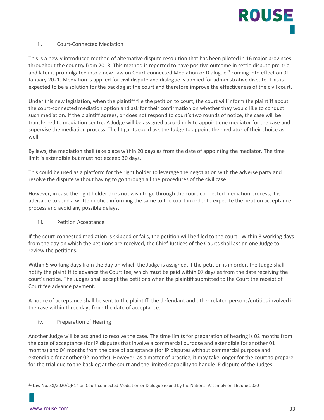#### ii. Court-Connected Mediation

This is a newly introduced method of alternative dispute resolution that has been piloted in 16 major provinces throughout the country from 2018. This method is reported to have positive outcome in settle dispute pre-trial and later is promulgated into a new Law on Court-connected Mediation or Dialogue<sup>51</sup> coming into effect on 01 January 2021. Mediation is applied for civil dispute and dialogue is applied for administrative dispute. This is expected to be a solution for the backlog at the court and therefore improve the effectiveness of the civil court.

Under this new legislation, when the plaintiff file the petition to court, the court will inform the plaintiff about the court-connected mediation option and ask for their confirmation on whether they would like to conduct such mediation. If the plaintiff agrees, or does not respond to court's two rounds of notice, the case will be transferred to mediation centre. A Judge will be assigned accordingly to appoint one mediator for the case and supervise the mediation process. The litigants could ask the Judge to appoint the mediator of their choice as well.

By laws, the mediation shall take place within 20 days as from the date of appointing the mediator. The time limit is extendible but must not exceed 30 days.

This could be used as a platform for the right holder to leverage the negotiation with the adverse party and resolve the dispute without having to go through all the procedures of the civil case.

However, in case the right holder does not wish to go through the court-connected mediation process, it is advisable to send a written notice informing the same to the court in order to expedite the petition acceptance process and avoid any possible delays.

iii. Petition Acceptance

If the court-connected mediation is skipped or fails, the petition will be filed to the court. Within 3 working days from the day on which the petitions are received, the Chief Justices of the Courts shall assign one Judge to review the petitions.

Within 5 working days from the day on which the Judge is assigned, if the petition is in order, the Judge shall notify the plaintiff to advance the Court fee, which must be paid within 07 days as from the date receiving the court's notice. The Judges shall accept the petitions when the plaintiff submitted to the Court the receipt of Court fee advance payment.

A notice of acceptance shall be sent to the plaintiff, the defendant and other related persons/entities involved in the case within three days from the date of acceptance.

iv. Preparation of Hearing

Another Judge will be assigned to resolve the case. The time limits for preparation of hearing is 02 months from the date of acceptance (for IP disputes that involve a commercial purpose and extendible for another 01 months) and 04 months from the date of acceptance (for IP disputes without commercial purpose and extendible for another 02 months). However, as a matter of practice, it may take longer for the court to prepare for the trial due to the backlog at the court and the limited capability to handle IP dispute of the Judges.

<sup>51</sup> Law No. 58/2020/QH14 on Court-connected Mediation or Dialogue issued by the National Assembly on 16 June 2020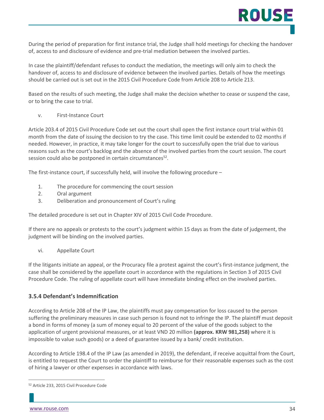During the period of preparation for first instance trial, the Judge shall hold meetings for checking the handover of, access to and disclosure of evidence and pre-trial mediation between the involved parties.

In case the plaintiff/defendant refuses to conduct the mediation, the meetings will only aim to check the handover of, access to and disclosure of evidence between the involved parties. Details of how the meetings should be carried out is set out in the 2015 Civil Procedure Code from Article 208 to Article 213.

Based on the results of such meeting, the Judge shall make the decision whether to cease or suspend the case, or to bring the case to trial.

v. First-Instance Court

Article 203.4 of 2015 Civil Procedure Code set out the court shall open the first instance court trial within 01 month from the date of issuing the decision to try the case. This time limit could be extended to 02 months if needed. However, in practice, it may take longer for the court to successfully open the trial due to various reasons such as the court's backlog and the absence of the involved parties from the court session. The court session could also be postponed in certain circumstances<sup>52</sup>.

The first-instance court, if successfully held, will involve the following procedure –

- 1. The procedure for commencing the court session
- 2. Oral argument
- 3. Deliberation and pronouncement of Court's ruling

The detailed procedure is set out in Chapter XIV of 2015 Civil Code Procedure.

If there are no appeals or protests to the court's judgment within 15 days as from the date of judgement, the judgment will be binding on the involved parties.

vi. Appellate Court

If the litigants initiate an appeal, or the Procuracy file a protest against the court's first-instance judgment, the case shall be considered by the appellate court in accordance with the regulations in Section 3 of 2015 Civil Procedure Code. The ruling of appellate court will have immediate binding effect on the involved parties.

#### **3.5.4 Defendant's Indemnification**

According to Article 208 of the IP Law, the plaintiffs must pay compensation for loss caused to the person suffering the preliminary measures in case such person is found not to infringe the IP. The plaintiff must deposit a bond in forms of money (a sum of money equal to 20 percent of the value of the goods subject to the application of urgent provisional measures, or at least VND 20 million **(approx. KRW 981,258)** where it is impossible to value such goods) or a deed of guarantee issued by a bank/ credit institution.

According to Article 198.4 of the IP Law (as amended in 2019), the defendant, if receive acquittal from the Court, is entitled to request the Court to order the plaintiff to reimburse for their reasonable expenses such as the cost of hiring a lawyer or other expenses in accordance with laws.

<sup>52</sup> Article 233, 2015 Civil Procedure Code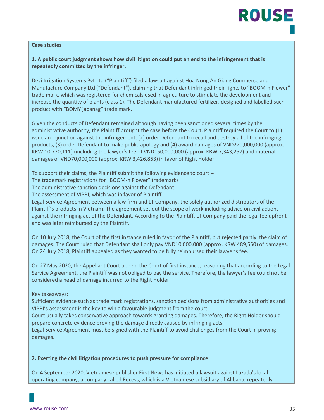#### **Case studies**

#### **1. A public court judgment shows how civil litigation could put an end to the infringement that is repeatedly committed by the infringer.**

Devi Irrigation Systems Pvt Ltd ("Plaintiff") filed a lawsuit against Hoa Nong An Giang Commerce and Manufacture Company Ltd ("Defendant"), claiming that Defendant infringed their rights to "BOOM-n Flower" trade mark, which was registered for chemicals used in agriculture to stimulate the development and increase the quantity of plants (class 1). The Defendant manufactured fertilizer, designed and labelled such product with "BOMY japanag" trade mark.

Given the conducts of Defendant remained although having been sanctioned several times by the administrative authority, the Plaintiff brought the case before the Court. Plaintiff required the Court to (1) issue an injunction against the infringement, (2) order Defendant to recall and destroy all of the infringing products, (3) order Defendant to make public apology and (4) award damages of VND220,000,000 (approx. KRW 10,770,111) (including the lawyer's fee of VND150,000,000 (approx. KRW 7,343,257) and material damages of VND70,000,000 (approx. KRW 3,426,853) in favor of Right Holder.

To support their claims, the Plaintiff submit the following evidence to court –

The trademark registrations for "BOOM-n Flower" trademarks

The administrative sanction decisions against the Defendant

The assessment of VIPRI, which was in favor of Plaintiff

Legal Service Agreement between a law firm and LT Company, the solely authorized distributors of the Plaintiff's products in Vietnam. The agreement set out the scope of work including advice on civil actions against the infringing act of the Defendant. According to the Plaintiff, LT Company paid the legal fee upfront and was later reimbursed by the Plaintiff.

On 10 July 2018, the Court of the first instance ruled in favor of the Plaintiff, but rejected partly the claim of damages. The Court ruled that Defendant shall only pay VND10,000,000 (approx. KRW 489,550) of damages. On 24 July 2018, Plaintiff appealed as they wanted to be fully reimbursed their lawyer's fee.

On 27 May 2020, the Appellant Court upheld the Court of first instance, reasoning that according to the Legal Service Agreement, the Plaintiff was not obliged to pay the service. Therefore, the lawyer's fee could not be considered a head of damage incurred to the Right Holder.

Key takeaways:

Sufficient evidence such as trade mark registrations, sanction decisions from administrative authorities and VIPRI's assessment is the key to win a favourable judgment from the court.

Court usually takes conservative approach towards granting damages. Therefore, the Right Holder should prepare concrete evidence proving the damage directly caused by infringing acts.

Legal Service Agreement must be signed with the Plaintiff to avoid challenges from the Court in proving damages.

#### **2. Exerting the civil litigation procedures to push pressure for compliance**

On 4 September 2020, Vietnamese publisher First News has initiated a lawsuit against Lazada's local operating company, a company called Recess, which is a Vietnamese subsidiary of Alibaba, repeatedly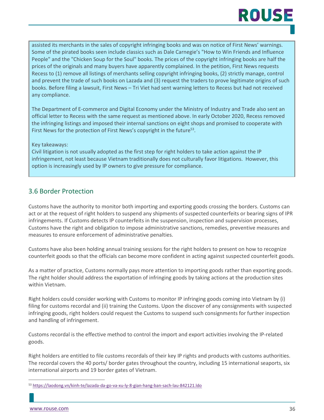## **ROUS**

assisted its merchants in the sales of copyright infringing books and was on notice of First News' warnings. Some of the pirated books seen include classics such as Dale Carnegie's "How to Win Friends and Influence People" and the "Chicken Soup for the Soul" books. The prices of the copyright infringing books are half the prices of the originals and many buyers have apparently complained. In the petition, First News requests Recess to (1) remove all listings of merchants selling copyright infringing books, (2) strictly manage, control and prevent the trade of such books on Lazada and (3) request the traders to prove legitimate origins of such books. Before filing a lawsuit, First News – Tri Viet had sent warning letters to Recess but had not received any compliance.

The Department of E-commerce and Digital Economy under the Ministry of Industry and Trade also sent an official letter to Recess with the same request as mentioned above. In early October 2020, Recess removed the infringing listings and imposed their internal sanctions on eight shops and promised to cooperate with First News for the protection of First News's copyright in the future<sup>53</sup>.

#### Key takeaways:

Civil litigation is not usually adopted as the first step for right holders to take action against the IP infringement, not least because Vietnam traditionally does not culturally favor litigations. However, this option is increasingly used by IP owners to give pressure for compliance.

#### <span id="page-35-0"></span>3.6 Border Protection

Customs have the authority to monitor both importing and exporting goods crossing the borders. Customs can act or at the request of right holders to suspend any shipments of suspected counterfeits or bearing signs of IPR infringements. If Customs detects IP counterfeits in the suspension, inspection and supervision processes, Customs have the right and obligation to impose administrative sanctions, remedies, preventive measures and measures to ensure enforcement of administrative penalties.

Customs have also been holding annual training sessions for the right holders to present on how to recognize counterfeit goods so that the officials can become more confident in acting against suspected counterfeit goods.

As a matter of practice, Customs normally pays more attention to importing goods rather than exporting goods. The right holder should address the exportation of infringing goods by taking actions at the production sites within Vietnam.

Right holders could consider working with Customs to monitor IP infringing goods coming into Vietnam by (i) filing for customs recordal and (ii) training the Customs. Upon the discover of any consignments with suspected infringing goods, right holders could request the Customs to suspend such consignments for further inspection and handling of infringement.

Customs recordal is the effective method to control the import and export activities involving the IP-related goods.

Right holders are entitled to file customs recordals of their key IP rights and products with customs authorities. The recordal covers the 40 ports/ border gates throughout the country, including 15 international seaports, six international airports and 19 border gates of Vietnam.

<sup>53</sup> <https://laodong.vn/kinh-te/lazada-da-go-va-xu-ly-8-gian-hang-ban-sach-lau-842121.ldo>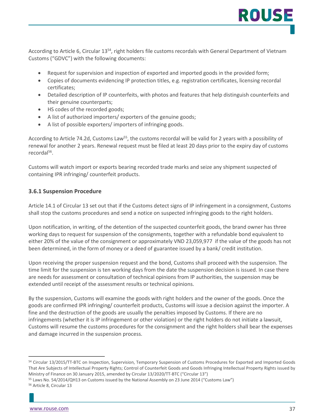According to Article 6, Circular 13<sup>54</sup>, right holders file customs recordals with General Department of Vietnam Customs ("GDVC") with the following documents:

- Request for supervision and inspection of exported and imported goods in the provided form;
- Copies of documents evidencing IP protection titles, e.g. registration certificates, licensing recordal certificates;
- Detailed description of IP counterfeits, with photos and features that help distinguish counterfeits and their genuine counterparts;
- HS codes of the recorded goods;
- A list of authorized importers/ exporters of the genuine goods;
- A list of possible exporters/ importers of infringing goods.

According to Article 74.2d, Customs Law<sup>55</sup>, the customs recordal will be valid for 2 years with a possibility of renewal for another 2 years. Renewal request must be filed at least 20 days prior to the expiry day of customs recordal56.

Customs will watch import or exports bearing recorded trade marks and seize any shipment suspected of containing IPR infringing/ counterfeit products.

#### **3.6.1 Suspension Procedure**

Article 14.1 of Circular 13 set out that if the Customs detect signs of IP infringement in a consignment, Customs shall stop the customs procedures and send a notice on suspected infringing goods to the right holders.

Upon notification, in writing, of the detention of the suspected counterfeit goods, the brand owner has three working days to request for suspension of the consignments, together with a refundable bond equivalent to either 20% of the value of the consignment or approximately VND 23,059,977 if the value of the goods has not been determined, in the form of money or a deed of guarantee issued by a bank/ credit institution.

Upon receiving the proper suspension request and the bond, Customs shall proceed with the suspension. The time limit for the suspension is ten working days from the date the suspension decision is issued. In case there are needs for assessment or consultation of technical opinions from IP authorities, the suspension may be extended until receipt of the assessment results or technical opinions.

By the suspension, Customs will examine the goods with right holders and the owner of the goods. Once the goods are confirmed IPR infringing/ counterfeit products, Customs will issue a decision against the importer. A fine and the destruction of the goods are usually the penalties imposed by Customs. If there are no infringements (whether it is IP infringement or other violation) or the right holders do not initiate a lawsuit, Customs will resume the customs procedures for the consignment and the right holders shall bear the expenses and damage incurred in the suspension process.

<sup>54</sup> Circular 13/2015/TT-BTC on Inspection, Supervision, Temporary Suspension of Customs Procedures for Exported and Imported Goods That Are Subjects of Intellectual Property Rights; Control of Counterfeit Goods and Goods Infringing Intellectual Property Rights issued by Ministry of Finance on 30 January 2015, amended by Circular 13/2020/TT-BTC ("Circular 13")

<sup>55</sup> Laws No. 54/2014/QH13 on Customs issued by the National Assembly on 23 June 2014 ("Customs Law")

<sup>56</sup> Article 8, Circular 13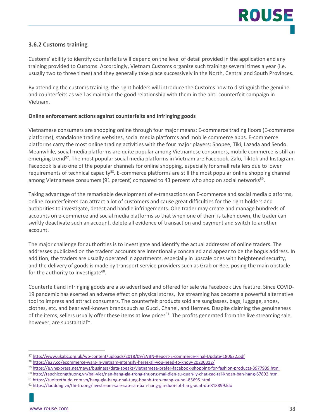#### **3.6.2 Customs training**

Customs' ability to identify counterfeits will depend on the level of detail provided in the application and any training provided to Customs. Accordingly, Vietnam Customs organize such trainings several times a year (i.e. usually two to three times) and they generally take place successively in the North, Central and South Provinces.

By attending the customs training, the right holders will introduce the Customs how to distinguish the genuine and counterfeits as well as maintain the good relationship with them in the anti-counterfeit campaign in Vietnam.

#### **Online enforcement actions against counterfeits and infringing goods**

Vietnamese consumers are shopping online through four major means: E-commerce trading floors (E-commerce platforms), standalone trading websites, social media platforms and mobile commerce apps. E-commerce platforms carry the most online trading activities with the four major players: Shopee, Tiki, Lazada and Sendo. Meanwhile, social media platforms are quite popular among Vietnamese consumers, mobile commerce is still an emerging trend<sup>57</sup>. The most popular social media platforms in Vietnam are Facebook, Zalo, Tiktok and Instagram. Facebook is also one of the popular channels for online shopping, especially for small retailers due to lower requirements of technical capacity<sup>58</sup>. E-commerce platforms are still the most popular online shopping channel among Vietnamese consumers (91 percent) compared to 43 percent who shop on social networks<sup>59</sup>.

Taking advantage of the remarkable development of e-transactions on E-commerce and social media platforms, online counterfeiters can attract a lot of customers and cause great difficulties for the right holders and authorities to investigate, detect and handle infringements. One trader may create and manage hundreds of accounts on e-commerce and social media platforms so that when one of them is taken down, the trader can swiftly deactivate such an account, delete all evidence of transaction and payment and switch to another account.

The major challenge for authorities is to investigate and identify the actual addresses of online traders. The addresses publicized on the traders' accounts are intentionally concealed and appear to be the bogus address. In addition, the traders are usually operated in apartments, especially in upscale ones with heightened security, and the delivery of goods is made by transport service providers such as Grab or Bee, posing the main obstacle for the authority to investigate $60$ .

Counterfeit and infringing goods are also advertised and offered for sale via Facebook Live feature. Since COVID-19 pandemic has exerted an adverse effect on physical stores, live streaming has become a powerful alternative tool to impress and attract consumers. The counterfeit products sold are sunglasses, bags, luggage, shoes, clothes, etc. and bear well-known brands such as Gucci, Chanel, and Hermes. Despite claiming the genuineness of the items, sellers usually offer these items at low prices<sup>61</sup>. The profits generated from the live streaming sale, however, are substantial<sup>62</sup>.

- <sup>60</sup> <http://tapchicongthuong.vn/bai-viet/nan-hang-gia-trong-thuong-mai-dien-tu-quan-ly-chat-cac-tai-khoan-ban-hang-67892.htm>
- <sup>61</sup> <https://tuoitrethudo.com.vn/hang-gia-hang-nhai-tung-hoanh-tren-mang-xa-hoi-85695.html>

<sup>57</sup> <http://www.ukabc.org.uk/wp-content/uploads/2018/09/EVBN-Report-E-commerce-Final-Update-180622.pdf>

<sup>58</sup> <https://e27.co/ecommerce-wars-in-vietnam-intensify-heres-all-you-need-to-know-20200312/>

<sup>59</sup> <https://e.vnexpress.net/news/business/data-speaks/vietnamese-prefer-facebook-shopping-for-fashion-products-3977939.html>

<sup>62</sup> <https://laodong.vn/thi-truong/livestream-sale-sap-san-ban-hang-gia-duoi-lot-hang-xuat-du-818899.ldo>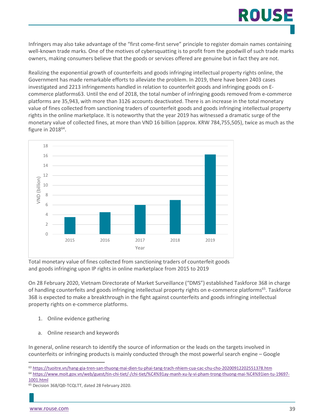# ROUS

Infringers may also take advantage of the "first come-first serve" principle to register domain names containing well-known trade marks. One of the motives of cybersquatting is to profit from the goodwill of such trade marks owners, making consumers believe that the goods or services offered are genuine but in fact they are not.

Realizing the exponential growth of counterfeits and goods infringing intellectual property rights online, the Government has made remarkable efforts to alleviate the problem. In 2019, there have been 2403 cases investigated and 2213 infringements handled in relation to counterfeit goods and infringing goods on Ecommerce platforms63. Until the end of 2018, the total number of infringing goods removed from e-commerce platforms are 35,943, with more than 3126 accounts deactivated. There is an increase in the total monetary value of fines collected from sanctioning traders of counterfeit goods and goods infringing intellectual property rights in the online marketplace. It is noteworthy that the year 2019 has witnessed a dramatic surge of the monetary value of collected fines, at more than VND 16 billion (approx. KRW 784,755,505), twice as much as the figure in 201864.



Total monetary value of fines collected from sanctioning traders of counterfeit goods and goods infringing upon IP rights in online marketplace from 2015 to 2019

On 28 February 2020, Vietnam Directorate of Market Surveillance ("DMS") established Taskforce 368 in charge of handling counterfeits and goods infringing intellectual property rights on e-commerce platforms<sup>65</sup>. Taskforce 368 is expected to make a breakthrough in the fight against counterfeits and goods infringing intellectual property rights on e-commerce platforms.

- 1. Online evidence gathering
- a. Online research and keywords

In general, online research to identify the source of information or the leads on the targets involved in counterfeits or infringing products is mainly conducted through the most powerful search engine – Google

<sup>63</sup> <https://tuoitre.vn/hang-gia-tren-san-thuong-mai-dien-tu-phai-tang-trach-nhiem-cua-cac-chu-cho-20200912202551378.htm>

<sup>64</sup> [https://www.moit.gov.vn/web/guest/tin-chi-tiet/-/chi-tiet/%C4%91ay-manh-xu-ly-vi-pham-trong-thuong-mai-%C4%91ien-tu-19697-](https://www.moit.gov.vn/web/guest/tin-chi-tiet/-/chi-tiet/%C4%91ay-manh-xu-ly-vi-pham-trong-thuong-mai-%C4%91ien-tu-19697-1001.html) [1001.html](https://www.moit.gov.vn/web/guest/tin-chi-tiet/-/chi-tiet/%C4%91ay-manh-xu-ly-vi-pham-trong-thuong-mai-%C4%91ien-tu-19697-1001.html)

<sup>65</sup> Decision 368/QĐ-TCQLTT, dated 28 February 2020.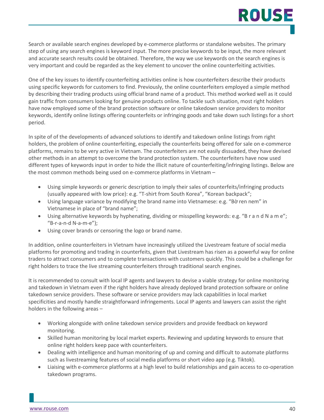# ROUSE

Search or available search engines developed by e-commerce platforms or standalone websites. The primary step of using any search engines is keyword input. The more precise keywords to be input, the more relevant and accurate search results could be obtained. Therefore, the way we use keywords on the search engines is very important and could be regarded as the key element to uncover the online counterfeiting activities.

One of the key issues to identify counterfeiting activities online is how counterfeiters describe their products using specific keywords for customers to find. Previously, the online counterfeiters employed a simple method by describing their trading products using official brand name of a product. This method worked well as it could gain traffic from consumers looking for genuine products online. To tackle such situation, most right holders have now employed some of the brand protection software or online takedown service providers to monitor keywords, identify online listings offering counterfeits or infringing goods and take down such listings for a short period.

In spite of of the developments of advanced solutions to identify and takedown online listings from right holders, the problem of online counterfeiting, especially the counterfeits being offered for sale on e-commerce platforms, remains to be very active in Vietnam. The counterfeiters are not easily dissuaded, they have devised other methods in an attempt to overcome the brand protection system. The counterfeiters have now used different types of keywords input in order to hide the illicit nature of counterfeiting/infringing listings. Below are the most common methods being used on e-commerce platforms in Vietnam –

- Using simple keywords or generic description to imply their sales of counterfeits/infringing products (usually appeared with low price): e.g. "T-shirt from South Korea", "Korean backpack";
- Using language variance by modifying the brand name into Vietnamese: e.g. "Bờ ren nem" in Vietnamese in place of "brand name";
- Using alternative keywords by hyphenating, dividing or misspelling keywords: e.g. "B r a n d N a m e"; "B-r-a-n-d N-a-m-e");
- Using cover brands or censoring the logo or brand name.

In addition, online counterfeiters in Vietnam have increasingly utilized the Livestream feature of social media platforms for promoting and trading in counterfeits, given that Livestream has risen as a powerful way for online traders to attract consumers and to complete transactions with customers quickly. This could be a challenge for right holders to trace the live streaming counterfeiters through traditional search engines.

It is recommended to consult with local IP agents and lawyers to devise a viable strategy for online monitoring and takedown in Vietnam even if the right holders have already deployed brand protection software or online takedown service providers. These software or service providers may lack capabilities in local market specificities and mostly handle straightforward infringements. Local IP agents and lawyers can assist the right holders in the following areas –

- Working alongside with online takedown service providers and provide feedback on keyword monitoring.
- Skilled human monitoring by local market experts. Reviewing and updating keywords to ensure that online right holders keep pace with counterfeiters.
- Dealing with intelligence and human monitoring of up and coming and difficult to automate platforms such as livestreaming features of social media platforms or short video app (e.g. Tiktok).
- Liaising with e-commerce platforms at a high level to build relationships and gain access to co-operation takedown programs.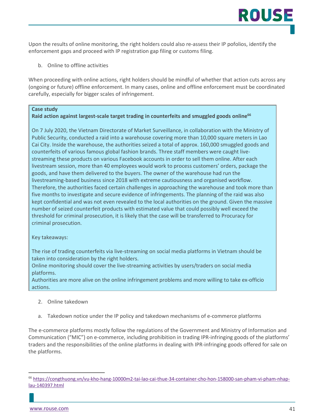Upon the results of online monitoring, the right holders could also re-assess their IP pofolios, identify the enforcement gaps and proceed with IP registration gap filing or customs filing.

b. Online to offline activities

When proceeding with online actions, right holders should be mindful of whether that action cuts across any (ongoing or future) offline enforcement. In many cases, online and offline enforcement must be coordinated carefully, especially for bigger scales of infringement.

#### **Case study**

#### Raid action against largest-scale target trading in counterfeits and smuggled goods online<sup>66</sup>

On 7 July 2020, the Vietnam Directorate of Market Surveillance, in collaboration with the Ministry of Public Security, conducted a raid into a warehouse covering more than 10,000 square meters in Lao Cai City. Inside the warehouse, the authorities seized a total of approx. 160,000 smuggled goods and counterfeits of various famous global fashion brands. Three staff members were caught livestreaming these products on various Facebook accounts in order to sell them online. After each livestream session, more than 40 employees would work to process customers' orders, package the goods, and have them delivered to the buyers. The owner of the warehouse had run the livestreaming-based business since 2018 with extreme cautiousness and organised workflow. Therefore, the authorities faced certain challenges in approaching the warehouse and took more than five months to investigate and secure evidence of infringements. The planning of the raid was also kept confidential and was not even revealed to the local authorities on the ground. Given the massive number of seized counterfeit products with estimated value that could possibly well exceed the threshold for criminal prosecution, it is likely that the case will be transferred to Procuracy for criminal prosecution.

Key takeaways:

The rise of trading counterfeits via live-streaming on social media platforms in Vietnam should be taken into consideration by the right holders.

Online monitoring should cover the live-streaming activities by users/traders on social media platforms.

Authorities are more alive on the online infringement problems and more willing to take ex-officio actions.

- 2. Online takedown
- a. Takedown notice under the IP policy and takedown mechanisms of e-commerce platforms

The e-commerce platforms mostly follow the regulations of the Government and Ministry of Information and Communication ("MIC") on e-commerce, including prohibition in trading IPR-infringing goods of the platforms' traders and the responsibilities of the online platforms in dealing with IPR-infringing goods offered for sale on the platforms.

<sup>66</sup> [https://congthuong.vn/vu-kho-hang-10000m2-tai-lao-cai-thue-34-container-cho-hon-158000-san-pham-vi-pham-nhap](https://congthuong.vn/vu-kho-hang-10000m2-tai-lao-cai-thue-34-container-cho-hon-158000-san-pham-vi-pham-nhap-lau-140397.html)[lau-140397.html](https://congthuong.vn/vu-kho-hang-10000m2-tai-lao-cai-thue-34-container-cho-hon-158000-san-pham-vi-pham-nhap-lau-140397.html)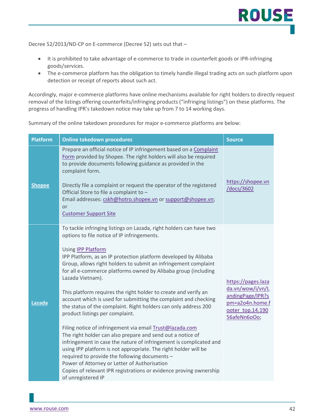Decree 52/2013/ND-CP on E-commerce (Decree 52) sets out that –

- It is prohibited to take advantage of e-commerce to trade in counterfeit goods or IPR-infringing goods/services.
- The e-commerce platform has the obligation to timely handle illegal trading acts on such platform upon detection or receipt of reports about such act.

Accordingly, major e-commerce platforms have online mechanisms available for right holders to directly request removal of the listings offering counterfeits/infringing products ("infringing listings") on these platforms. The progress of handling IPR's takedown notice may take up from 7 to 14 working days.

Summary of the online takedown procedures for major e-commerce platforms are below:

| <b>Platform</b> | <b>Online takedown procedures</b>                                                                                                                                                                                                                                                                                                                                                                                                                                                                                                                                                                                                                                                                                                                                                                                                                                                                                                                                                                                                                                                       | <b>Source</b>                                                                                                     |
|-----------------|-----------------------------------------------------------------------------------------------------------------------------------------------------------------------------------------------------------------------------------------------------------------------------------------------------------------------------------------------------------------------------------------------------------------------------------------------------------------------------------------------------------------------------------------------------------------------------------------------------------------------------------------------------------------------------------------------------------------------------------------------------------------------------------------------------------------------------------------------------------------------------------------------------------------------------------------------------------------------------------------------------------------------------------------------------------------------------------------|-------------------------------------------------------------------------------------------------------------------|
| <b>Shopee</b>   | Prepare an official notice of IP infringement based on a Complaint<br>Form provided by Shopee. The right holders will also be required<br>to provide documents following guidance as provided in the<br>complaint form.<br>Directly file a complaint or request the operator of the registered<br>Official Store to file a complaint to -<br>Email addresses: cskh@hotro.shopee.vn or support@shopee.vn;<br>or<br><b>Customer Support Site</b>                                                                                                                                                                                                                                                                                                                                                                                                                                                                                                                                                                                                                                          | https://shopee.vn<br>/docs/3602                                                                                   |
| Lazada          | To tackle infringing listings on Lazada, right holders can have two<br>options to file notice of IP infringements.<br>Using <b>IPP Platform</b><br>IPP Platform, as an IP protection platform developed by Alibaba<br>Group, allows right holders to submit an infringement complaint<br>for all e-commerce platforms owned by Alibaba group (including<br>Lazada Vietnam).<br>This platform requires the right holder to create and verify an<br>account which is used for submitting the complaint and checking<br>the status of the complaint. Right holders can only address 200<br>product listings per complaint.<br>Filing notice of infringement via email Trust@lazada.com<br>The right holder can also prepare and send out a notice of<br>infringement in case the nature of infringement is complicated and<br>using IPP platform is not appropriate. The right holder will be<br>required to provide the following documents -<br>Power of Attorney or Letter of Authorisation<br>Copies of relevant IPR registrations or evidence proving ownership<br>of unregistered IP | https://pages.laza<br>da.vn/wow/i/vn/L<br>andingPage/IPR?s<br>pm=a2o4n.home.f<br>ooter top.14.190<br>56afeNn6oOo; |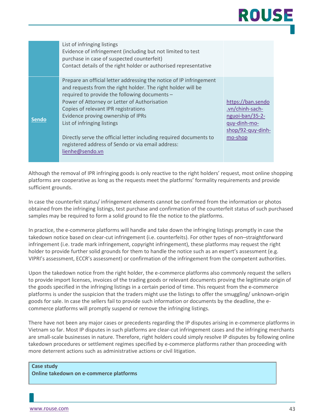# ROUSE

|              | List of infringing listings<br>Evidence of infringement (including but not limited to test<br>purchase in case of suspected counterfeit)<br>Contact details of the right holder or authorised representative                                                                                                                                                                                                                                                                                    |                                                                                                         |
|--------------|-------------------------------------------------------------------------------------------------------------------------------------------------------------------------------------------------------------------------------------------------------------------------------------------------------------------------------------------------------------------------------------------------------------------------------------------------------------------------------------------------|---------------------------------------------------------------------------------------------------------|
| <b>Sendo</b> | Prepare an official letter addressing the notice of IP infringement<br>and requests from the right holder. The right holder will be<br>required to provide the following documents -<br>Power of Attorney or Letter of Authorisation<br>Copies of relevant IPR registrations<br>Evidence proving ownership of IPRs<br>List of infringing listings<br>Directly serve the official letter including required documents to<br>registered address of Sendo or via email address:<br>lienhe@sendo.vn | https://ban.sendo<br>.vn/chinh-sach-<br>nguoi-ban/35-2-<br>quy-dinh-mo-<br>shop/92-quy-dinh-<br>mo-shop |

Although the removal of IPR infringing goods is only reactive to the right holders' request, most online shopping platforms are cooperative as long as the requests meet the platforms' formality requirements and provide sufficient grounds.

In case the counterfeit status/ infringement elements cannot be confirmed from the information or photos obtained from the infringing listings, test purchase and confirmation of the counterfeit status of such purchased samples may be required to form a solid ground to file the notice to the platforms.

In practice, the e-commerce platforms will handle and take down the infringing listings promptly in case the takedown notice based on clear-cut infringement (i.e. counterfeits). For other types of non–straightforward infringement (i.e. trade mark infringement, copyright infringement), these platforms may request the right holder to provide further solid grounds for them to handle the notice such as an expert's assessment (e.g. VIPRI's assessment, ECCR's assessment) or confirmation of the infringement from the competent authorities.

Upon the takedown notice from the right holder, the e-commerce platforms also commonly request the sellers to provide import licenses, invoices of the trading goods or relevant documents proving the legitimate origin of the goods specified in the infringing listings in a certain period of time. This request from the e-commerce platforms is under the suspicion that the traders might use the listings to offer the smuggling/ unknown-origin goods for sale. In case the sellers fail to provide such information or documents by the deadline, the ecommerce platforms will promptly suspend or remove the infringing listings.

There have not been any major cases or precedents regarding the IP disputes arising in e-commerce platforms in Vietnam so far. Most IP disputes in such platforms are clear-cut infringement cases and the infringing merchants are small-scale businesses in nature. Therefore, right holders could simply resolve IP disputes by following online takedown procedures or settlement regimes specified by e-commerce platforms rather than proceeding with more deterrent actions such as administrative actions or civil litigation.

**Case study Online takedown on e-commerce platforms**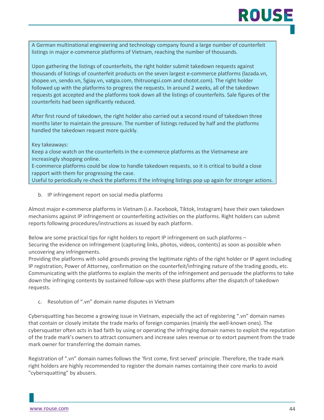## ROUSI

A German multinational engineering and technology company found a large number of counterfeit listings in major e-commerce platforms of Vietnam, reaching the number of thousands.

Upon gathering the listings of counterfeits, the right holder submit takedown requests against thousands of listings of counterfeit products on the seven largest e-commerce platforms (lazada.vn, shopee.vn, sendo.vn, 5giay.vn, vatgia.com, thitruongsi.com and chotot.com). The right holder followed up with the platforms to progress the requests. In around 2 weeks, all of the takedown requests got accepted and the platforms took down all the listings of counterfeits. Sale figures of the counterfeits had been significantly reduced.

After first round of takedown, the right holder also carried out a second round of takedown three months later to maintain the pressure. The number of listings reduced by half and the platforms handled the takedown request more quickly.

Key takeaways:

Keep a close watch on the counterfeits in the e-commerce platforms as the Vietnamese are increasingly shopping online.

E-commerce platforms could be slow to handle takedown requests, so it is critical to build a close rapport with them for progressing the case.

Useful to periodically re-check the platforms if the infringing listings pop up again for stronger actions.

b. IP infringement report on social media platforms

Almost major e-commerce platforms in Vietnam (i.e. Facebook, Tiktok, Instagram) have their own takedown mechanisms against IP infringement or counterfeiting activities on the platforms. Right holders can submit reports following procedures/instructions as issued by each platform.

Below are some practical tips for right holders to report IP infringement on such platforms – Securing the evidence on infringement (capturing links, photos, videos, contents) as soon as possible when uncovering any infringements.

Providing the platforms with solid grounds proving the legitimate rights of the right holder or IP agent including IP registration, Power of Attorney, confirmation on the counterfeit/infringing nature of the trading goods, etc. Communicating with the platforms to explain the merits of the infringement and persuade the platforms to take down the infringing contents by sustained follow-ups with these platforms after the dispatch of takedown requests.

c. Resolution of ".vn" domain name disputes in Vietnam

Cybersquatting has become a growing issue in Vietnam, especially the act of registering ".vn" domain names that contain or closely imitate the trade marks of foreign companies (mainly the well-known ones). The cybersquatter often acts in bad faith by using or operating the infringing domain names to exploit the reputation of the trade mark's owners to attract consumers and increase sales revenue or to extort payment from the trade mark owner for transferring the domain names.

Registration of ".vn" domain names follows the 'first come, first served' principle. Therefore, the trade mark right holders are highly recommended to register the domain names containing their core marks to avoid "cybersquatting" by abusers.